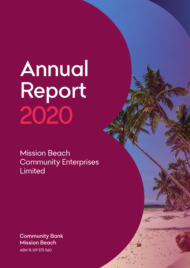# *Annual Report 2020*

*Mission Beach Community Enterprises Limited*

*Community Bank Mission Beach ABN 15 129 575 560*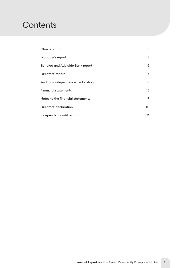# *Contents*

| Chair's report                          | $\mathbf{2}^{\prime}$   |
|-----------------------------------------|-------------------------|
| Manager's report                        | $\overline{\mathbf{A}}$ |
| <b>Bendigo and Adelaide Bank report</b> | 6                       |
| Directors' report                       | 7                       |
| Auditor's independence declaration      | 12 <sup>2</sup>         |
| <b>Financial statements</b>             | 13 <sup>°</sup>         |
| Notes to the financial statements       | 17                      |
| Directors' declaration                  | 40                      |
| Independent audit report                | 41                      |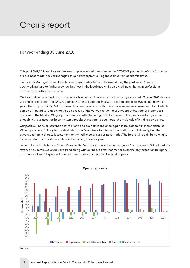# <span id="page-2-0"></span>**Chair's report**

# *For year ending 30 June 2020* Our branch manager Rosie Harris has remained dedicated and focused during the past year. Rosie has

This past 2019/20 financial year has seen unprecedented times due to the COVID-19 pandemic. We are fortunate our business model has still managed to generate a profit during these uncertain economic times.

Our Branch Manager, Rosie Harris has remained dedicated and focused during the past year. Rosie has been working hard to further grow our business in the local area while also working on her own professional development within the business.<br>

Our branch has managed to post some positive financial results for the financial year ended 30 June 2020, despite the challenges faced. The 2019/20 year saw after tax profit of \$9,673. This is a decrease of 80% on our previous<br>. *year after tax profit of \$47,571. This result has been predominantly due to a decrease in our revenue, a lot of which*  can be attributed to loan pay downs as a result of the various settlements throughout the year of properties in the area to the Mayfair 101 group. This has also affected our growth for the year. It has remained stagnant as not enough new business has been written throughout the year to counteract the multitude of lending pay downs.

Our positive financial result has allowed us to declare a dividend once again to be paid to our shareholders of *.01 cent per share. Although a modest return, the Board feels that to be able to still pay a dividend given the*  current economic climate is testament to the resilience of our business model. The Board will again be striving to increase returns to our shareholders in the coming financial year.

l would like to highlight how far our Community Bank has come in the last ten years. You can see in Table 1 that our revenue has continued an upward trend along with our Result after income tax (with the only exception being the *past financial year). Expenses have remained quite constant over the past 10 years.*



Table 1 *Table 1*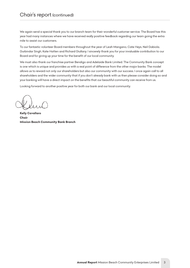# *Chair's report (continued)*

*We again send a special thank you to our branch team for their wonderful customer service. The Board has this year had many instances where we have received really positive feedback regarding our team going the extra mile to assist our customers.*

*To our fantastic volunteer Board members throughout the year of Leah Mangano, Cate Heys, Neil Gabiola,*  Gurbindar Singh, Kate Hatten and Richard Giullany. I sincerely thank you for your invaluable contribution to our *Board and for giving up your time for the benefit of our local community.*

*We must also thank our franchise partner Bendigo and Adelaide Bank Limited. The Community Bank concept is one which is unique and provides us with a real point of difference from the other major banks. The model* allows us to reward not only our shareholders but also our community with our success. I once again call to all *shareholders and the wider community that if you don't already bank with us then please consider doing so and your banking will have a direct impact on the benefits that our beautiful community can receive from us.*

*Looking forward to another positive year for both our bank and our local community.*

*Kelly Cavallaro Chair Mission Beach Community Bank Branch*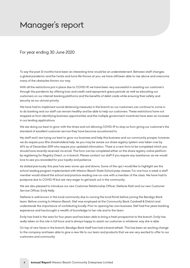# <span id="page-4-0"></span>*Manager's report*

### *For year ending 30 June 2020*

*To say the past 12 months have been an interesting time would be an understatement. Between staff changes, a global pandemic and the twists and turns life throws at you, we have still been able to rise above and overcome many of the obstacles thrown our way.* 

*With all the restrictions put in place due to COVID-19, we have been very successful in assisting our customer's through the pandemic by offering loan and credit card repayment grace periods as well as educating our customers on our internet banking platforms and the benefits of debit cards while ensuring their safety and security as our utmost priority.* 

*We have had to implement social distancing measures in the branch so our customers can continue to come in*  to do banking and our staff can remain healthy and be able to help our customers. These restrictions have not *stopped us from identifying business opportunities and the multiple government incentives have seen an increase in our lending applications.* 

*We are doing our best to grow with the times and not allowing COVID-19 to stop us from giving our customer's the standard of excellent customer service they have become accustomed to.* 

*My staff and I are trying our best to grow our business and help this business and our community prosper, however, we do require your (the shareholders) help. As you may be aware our share registry system was taken over by AFS as of December 2019 who require your updated information. There is a new form to be completed which you should have recently received via email. This form can be completed either on the share registry online platform by registering for Registry Direct, or in branch. Please contact our staff if you require any assistance, as we would love to see you rewarded for your loyalty and patience.* 

As stated previously, this year has seen some ups and downs. Some of the ups I would like to highlight are the *school reading program implemented with Mission Beach State School prep classes. For one hour a week a staff member would attend the school and practice reading one-on-one with a member of the class. We have had to postpone due to COVID-19 but are very eager to get back out in the community.* 

*We are also pleased to introduce our new Customer Relationship Officer, Stefanie Raiti and our new Customer Service Officer, Emily Kelly.* 

*Stefanie is well-known in the local community due to owning the local florist before joining the Bendigo Bank team. Before coming to Mission Beach, Stef was employed at the Community Bank Cardwell & District and*  understands the importance of contributing locally. Prior to opening her own business, Stef had five years banking *experience and has brought a wealth of knowledge to her role and to the team.* 

*Emily has lived in the area for four years and has been able to bring a fresh prospective to the branch. Emily has really taken on the role in full force and is always happy to assist our customer in whatever way she is able.* 

*On top of new faces in the branch, Bendigo Bank itself has had a brand refresh. This has been an exciting change*  to the company and been able to give a new life to our team and products that we are very excited to offer to our *customers and community.*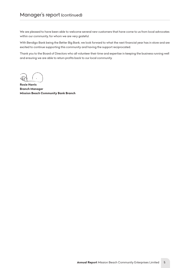*We are pleased to have been able to welcome several new customers that have come to us from local advocates within our community, for whom we are very grateful.* 

*With Bendigo Bank being the Better Big Bank, we look forward to what the next financial year has in store and are excited to continue supporting this community and having the support reciprocated.* 

*Thank you to the Board of Directors who all volunteer their time and expertise in keeping the business running well and ensuring we are able to return profits back to our local community.*

*Rosie Harris Branch Manager Mission Beach Community Bank Branch*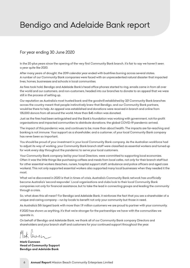# <span id="page-6-0"></span>*Bendigo and Adelaide Bank report*

## *For year ending 30 June 2020*

*In the 20-plus years since the opening of the very first Community Bank branch, it's fair to say we haven't seen a year quite like 2020.* 

*After many years of drought, the 2019 calendar year ended with bushfires burning across several states. A number of our Community Bank companies were faced with an unprecedented natural disaster that impacted lives, homes, businesses and schools in local communities.* 

*As fires took hold, Bendigo and Adelaide Bank's head office phones started to ring, emails came in from all over the world and our customers, and non-customers, headed into our branches to donate to an appeal that we were still in the process of setting up.* 

*Our reputation as Australia's most trusted bank and the goodwill established by 321 Community Bank branches across the country meant that people instinctively knew that Bendigo, and our Community Bank partners, would be there to help. An appeal was established and donations were received in branch and online from 135,000 donors from all around the world. More than \$45 million was donated.* 

*Just as the fires had been extinguished and the Bank's foundation was working with government, not-for-profit organisations and impacted communities to distribute donations, the global COVID-19 pandemic arrived.* 

*The impact of this pandemic was, and continues to be, more than about health. The impacts are far-reaching and banking is not immune. Your support as a shareholder, and a customer, of your local Community Bank company has never been so important.* 

*You should be proud of your investment in your local Community Bank company. As the Australian workforce had to adjust its way of working, your Community Bank branch staff were classified as essential workers and turned up for work every day throughout the pandemic to serve your local customers.* 

*Your Community Bank company, led by your local Directors, were committed to supporting local economies. Often it was the little things like purchasing coffees and meals from local cafes, not only for their branch staff but*  for other essential workers (teachers, nurses, hospital support staff, ambulance and police officers and aged care *workers). This not only supported essential workers also supported many local businesses when they needed it the most.* 

*What we've discovered in 2020 is that in times of crisis, Australia's Community Bank network has unofficially become Australia's 'second responder'. Local organisations and clubs look to their local Community Bank companies not only for financial assistance, but to take the lead in connecting groups and leading the community through a crisis.* 

*So, what does this all mean? For Bendigo and Adelaide Bank, it reinforces the fact that you are a shareholder of a unique and caring company – run by locals to benefit not only your community but those in need.* 

*As Australia's 5th largest bank with more than 1.9 million customers we are proud to partner with your community.* 

*If 2020 has shown us anything, it's that we're stronger for the partnerships we have with the communities we operate in.* 

*On behalf of Bendigo and Adelaide Bank, we thank all of our Community Bank company Directors and shareholders and your branch staff and customers for your continued support throughout the year.* 

*Mark Cunneen Head of Community Support Bendigo and Adelaide Bank*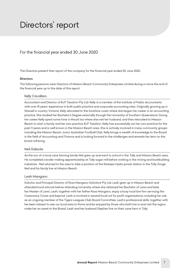# <span id="page-7-0"></span>*Directors' report*

# *For the financial year ended 30 June 2020*

*The Directors present their report of the company for the financial year ended 30 June 2020.*

#### *Directors*

*The following persons were Directors of Mission Beach Community Enterprises Limited during or since the end of the financial year up to the date of this report:*

#### *Kelly Cavallaro*

*Accountant and Director of KLP Taxation Pty Ltd. Kelly is a member of the Institute of Public Accountants with over 15 years' experience in both public practice and corporate accounting roles. Originally growing up in Stawell in country Victoria, Kelly relocated to the Sunshine coast where she began her career in an accounting practice. She studied her Bachelor's Degree externally through the University of Southern Queensland. During her career Kelly spent some time in Mount Isa where she met her husband, and then relocated to Mission Beach to start a family and her own practice KLP Taxation. Kelly has successfully ran her own practice for the past 11 years and is well known in the Mission Beach area. She is actively involved in many community groups including the Mission Beach Junior Australian Football Club. Kelly brings a wealth of knowledge to the Board in the field of Accounting and Finance and is looking forward to the challenges and rewards her term on the board will bring.*

#### *Neil Gabiola*

As the son of a local cane farming family Neil grew up and went to school in the Tully and Mission Beach area. *He completed a boiler making apprenticeship at Tully sugar mill before working in the mining and boatbuilding industries . Neil returned to the area to take a position at the Kareeya Hydro power station in the Tully Gorge. Neil and his family live at Mission Beach.*

#### *Leah Mangano*

*Solicitor and Principal Director of Ross Mangano Solicitors Pty Ltd. Leah grew up in Mission Beach and attended local schools before attending University where she obtained her Bachelor of Laws and later, her Master of Laws. Leah, together with her father Ross Mangano, enjoy a busy local law firm servicing the Cassowary Coast and beyond. Leah is involved in several local not for profit organisations, including her role as an ongoing member of the Tigers Leagues Club Board Committee. Leah's professional skills, together with her keen interest to see our local area to thrive and be enjoyed by those who both live in and visit the region, make her an asset to the Board. Leah and her husband Stephen live on their cane farm in Tully.*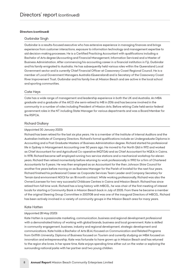#### *Directors (continued)*

#### *Gurbindar Singh*

*Gurbindar is a results-focused executive who has extensive experience in managing finances and brings experience from customer interactions, exposure to information technology and management expertise to aid decision-making processes. He is a Certified Practicing Accountant with qualifications including a Bachelor of Arts degree (Accounting and Financial Management, Information Services) and a Master of Business Administration. After commencing his accounting career in a financial institution in Fiji, Gurbindar and his family emigrated to Australia. He has subsequently held various roles within the Queensland Local Government sector and is currently Chief Financial Officer at Cassowary Coast Regional Council. He is a member of Local Government Managers Australia (Queensland) and is Secretary of the Cassowary Coast River Improvement Trust. Gurbindar and his family live at Mission Beach and are active in the local school and sporting communities.*

#### *Cate Heys*

*Cate has a wide range of management and leadership experience in both the UK and Australia. An MBA graduate and a graduate of the AICD she semi-retired to MB in 2016 and has become involved in the community in a number of roles including President of Mission Arts. Before retiring Cate held senior federal government roles in the NT including State Manager for various departments and was a Board Member for the RSPCA.*

#### *Richard Giullany*

#### *(Appointed 30 January 2020)*

*Richard has been retired for the last six plus years. He is a member of the Institute of Internal Auditors and the Australian Institute of Company Directors. Richard's formal qualifications include an Undergraduate Diploma in Accounting and a Post Graduate Masters of Business Administration degree. Richard started his professional life in Sydney in Management Accounting over 50 years ago. He moved to Far North Qld in 1972 and worked as Chief Accountant for and Agricultural Co-operative (NQTGA) and as Chief Accountant for NQEA in Cairns. In 1978, Richard became self employed running two service stations and a mechanical workshop for eleven years. Richard then retired momentarily before returning to work professionally in 1992 for a firm of Chartered Accountants for 5 years. He was then employed as an Accountant for the then Johnson Shire Council for another five years before moving on as Business Manager for the Parish of Innisfail for the next four years. Richard finished his professional Career as Corporate Services Team Leader and Company Secretary for Terrain (and environment NGO) for an 18 month contract. While working professionally, Richard was also the Owner/Licensee for two very successful Childcare Centres in Cairns and Mission Beach. Richard has since retired from full time work. Richard has a long history with MBCEL, he was chair of the first meeting of interest locals for starting a Community Bank in Mission Beach back in July of 2005. From there he became a member of the original Steering Group Committee in 2007/08 and was one of the inaugural Directors of MBCEL. Richard has been actively involved in a variety of community groups in the Mission Beach area for many years.*

#### *Kate Hatten*

#### *(Appointed 28 May 2020)*

*Kate Hatten is a passionate marketing, communication, business and regional development professional with a demonstrated history of working with global brands, business and local government. Kate is skilled in community engagement, business, industry and regional development, strategic development and communications. Kate holds a Bachelor of Arts (B.A.) focused on Communication and Related Programs from Griffith University, Diploma of Business focused on Tourism and currently studying an MBA focused on innovation and entrepreneurship. Kate was fortunate to have grown up in Mission Beach and has returned* to the region she loves. In her spare time, Kate enjoys spending time either out on the water or exploring the *surrounding national parks with her partner and two young children.*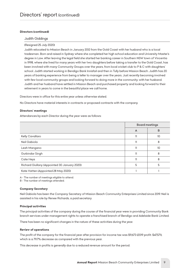#### *Directors (continued)*

#### *Judith Giddings*

#### *(Resigned 25 July 2020)*

*Judith relocated to Mission Beach in January 2012 from the Gold Coast with her husband who is a local tradesman. Born and raised in Sydney where she completed her high school education and University Master's degree in Law. After leaving the legal field she started her banking career in Southern NSW town of Vincentia in 1998, where she lived for many years with her two daughters before taking a transfer to the Gold Coast, has been involved with many Community Groups over the years, from local cricket club to P & C with daughters' school. Judith started working in Bendigo Bank Innisfail and then in Tully before Mission Beach. Judith has 20 years of banking experience from being a teller to manager over the years. Just recently becoming involved*  with few local community groups and looking forward to doing more in the community, with her husband. *Judith and her husband have settled in Mission Beach and purchased property and looking forward to their retirement in years to come in the beautiful place we call home.*

*Directors were in office for this entire year unless otherwise stated.*

*No Directors have material interests in contracts or proposed contracts with the company.*

#### *Directors' meetings*

*Attendances by each Director during the year were as follows:*

|                                              | <b>Board meetings</b> |    |
|----------------------------------------------|-----------------------|----|
|                                              | A                     | в  |
| Kelly Cavallaro                              | 11                    | 10 |
| Neil Gabiola                                 | 11                    | 8  |
| Leah Mangano                                 |                       | 10 |
| Gurbindar Singh                              | 11                    | 8  |
| Cate Heys                                    | 11                    | 8  |
| Richard Giullany (Appointed 30 January 2020) | 5                     | 5  |
| Kate Hatten (Appointed 28 May 2020)          |                       |    |

*A - The number of meetings eligible to attend.*

*B - The number of meetings attended.*

#### *Company Secretary*

*Neil Gabiola has been the Company Secretary of Mission Beach Community Enterprises Limited since 2019. Neil is assisted in his role by Renee Richards, a paid secretary.*

#### *Principal activities*

*The principal activities of the company during the course of the financial year were in providing Community Bank branch services under management rights to operate a franchised branch of Bendigo and Adelaide Bank Limited.*

*There has been no significant changes in the nature of these activities during the year.*

#### *Review of operations*

*The profit of the company for the financial year after provision for income tax was \$9,673 (2019 profit: \$47,571), which is a 79.7% decrease as compared with the previous year.*

*This decrease in profits is generally due to a reduced revenue amount for the period.*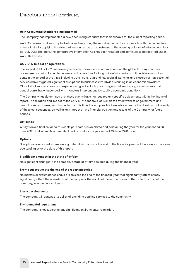#### *New Accounting Standards Implemented*

*The Company has implemented a new accounting standard that is applicable for the current reporting period.*

AASB 16: Leases has been applied retrospectively using the modified cumulative approach, with the cumulative *effect of initially applying the standard recognised as an adjustment to the opening balance of retained earnings at 1 July 2019. Therefore, the comparative information has not been restated and continues to be reported under AASB 117: Leases.* 

#### *COVID-19 Impact on Operations*

*The spread of COVID-19 has severely impacted many local economies around the globe. In many countries, businesses are being forced to cease or limit operations for long or indefinite periods of time. Measures taken to contain the spread of the virus, including travel bans, quarantines, social distancing, and closures of non-essential services have triggered significant disruptions to businesses worldwide, resulting in an economic slowdown. Global stock markets have also experienced great volatility and a significant weakening. Governments and central banks have responded with monetary interventions to stabilise economic conditions.*

*The Company has determined that these events have not required any specific adjustments within the financial report. The duration and impact of the COVID-19 pandemic, as well as the effectiveness of government and central bank responses, remains unclear at this time. It is not possible to reliably estimate the duration and severity of these consequences, as well as any impact on the financial position and results of the Company for future periods.*

#### *Dividends*

*A fully franked final dividend of 3 cents per share was declared and paid during the year for the year ended 30 June 2019. No dividend has been declared or paid for the year ended 30 June 2020 as yet.*

#### *Options*

*No options over issued shares were granted during or since the end of the financial year and there were no options outstanding as at the date of this report.*

#### *Significant changes in the state of affairs*

*No significant changes in the company's state of affairs occurred during the financial year.*

#### *Events subsequent to the end of the reporting period*

*No matters or circumstances have arisen since the end of the financial year that significantly affect or may significantly affect the operations of the company, the results of those operations or the state of affairs of the company, in future financial years.*

#### *Likely developments*

*The company will continue its policy of providing banking services to the community.*

#### *Environmental regulations*

*The company is not subject to any significant environmental regulation.*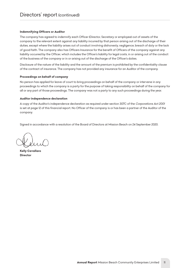#### *Indemnifying Officers or Auditor*

*The company has agreed to indemnify each Officer (Director, Secretary or employee) out of assets of the*  company to the relevant extent against any liability incurred by that person arising out of the discharge of their *duties, except where the liability arises out of conduct involving dishonesty, negligence, breach of duty or the lack of good faith. The company also has Officers Insurance for the benefit of Officers of the company against any liability occurred by the Officer, which includes the Officer's liability for legal costs, in or arising out of the conduct of the business of the company or in or arising out of the discharge of the Officer's duties.*

*Disclosure of the nature of the liability and the amount of the premium is prohibited by the confidentiality clause of the contract of insurance. The company has not provided any insurance for an Auditor of the company.*

#### *Proceedings on behalf of company*

*No person has applied for leave of court to bring proceedings on behalf of the company or intervene in any proceedings to which the company is a party for the purpose of taking responsibility on behalf of the company for all or any part of those proceedings. The company was not a party to any such proceedings during the year.*

#### *Auditor independence declaration*

A copy of the Auditor's independence declaration as required under section 307C of the *Corporations Act 2001 is set at page 12 of this financial report. No Officer of the company is or has been a partner of the Auditor of the company.*

*Signed in accordance with a resolution of the Board of Directors at Mission Beach on 24 September 2020.*

*Kelly Cavallaro Director*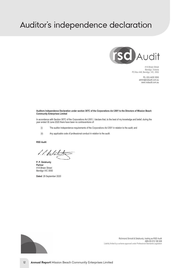# <span id="page-12-0"></span>*Auditor's independence declaration*



41A Breen Street Bendigo, Victoria PO Box 448, Bendigo, VIC, 3552

> Ph: (03) 4435 3550 admin@rsdaudit.com.au www.rsdaudit.com.au

#### **Auditors Independence Declaration under section 307C of the** *Corporations Act 2001* **to the Directors of Mission Beach Community Enterprises Limited**

In accordance with Section 307C of the *Corporations Act 2001,* I declare that, to the best of my knowledge and belief, during the year ended 30 June 2020 there have been no contraventions of:

- (i) The auditor independence requirements of the *Corporations Act 2001* in relation to the audit; and
- (ii) Any applicable code of professional conduct in relation to the audit.

#### **RSD Audit**

1. 1. Debotato

**P. P. Delahunty Partner** 41A Breen Street Bendigo VIC 3550

**Dated**: 29 September 2020



Richmond Sinnott & Delahunty, trading as RSD Audit ABN 85 619 186 908 Liability limited by a scheme approved under Professional Standards Legislation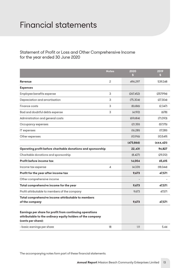# <span id="page-13-0"></span>*Financial statements*

# *Statement of Profit or Loss and Other Comprehensive Income for the year ended 30 June 2020*

|                                                                                                                                              | <b>Notes</b>             | 2020<br>\$. | 2019<br>\$ |
|----------------------------------------------------------------------------------------------------------------------------------------------|--------------------------|-------------|------------|
| Revenue                                                                                                                                      | $\mathbf{2}$             | 496,297     | 539.248    |
| <b>Expenses</b>                                                                                                                              |                          |             |            |
| Employee benefits expense                                                                                                                    | 3                        | (267, 452)  | (257,994)  |
| Depreciation and amortisation                                                                                                                | 3                        | (75, 304)   | (27.304)   |
| Finance costs                                                                                                                                | 3                        | (8,686)     | (2,347)    |
| Bad and doubtful debts expense                                                                                                               | 3                        | (4,192)     | (678)      |
| Administration and general costs                                                                                                             |                          | (69.684)    | (71.093)   |
| Occupancy expenses                                                                                                                           |                          | (21, 351)   | (57,175)   |
| IT expenses                                                                                                                                  |                          | (16.281)    | (17,281)   |
| Other expenses                                                                                                                               |                          | (10.916)    | (10.549)   |
|                                                                                                                                              |                          | (473, 866)  | (444, 421) |
| Operating profit before charitable donations and sponsorship                                                                                 |                          | 22,431      | 94,827     |
| Charitable donations and sponsorship                                                                                                         |                          | (8, 427)    | (29,212)   |
| Profit before income tax                                                                                                                     |                          | 14,004      | 65,615     |
| Income tax expense                                                                                                                           | $\overline{\mathcal{A}}$ | (4, 331)    | (18,044)   |
| Profit for the year after income tax                                                                                                         |                          | 9,673       | 47,571     |
| Other comprehensive income                                                                                                                   |                          |             |            |
| Total comprehensive income for the year                                                                                                      |                          | 9,673       | 47,571     |
| Profit attributable to members of the company                                                                                                |                          | 9.673       | 47,571     |
| Total comprehensive income attributable to members<br>of the company                                                                         |                          | 9,673       | 47,571     |
| Earnings per share for profit from continuing operations<br>attributable to the ordinary equity holders of the company<br>(cents per share): |                          |             |            |
| - basic earnings per share                                                                                                                   | 18                       | 1.11        | 5.44       |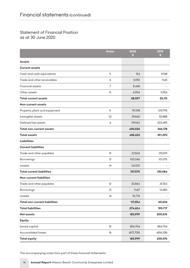# *Statement of Financial Position as at 30 June 2020*

|                                      | <b>Notes</b>   | 2020<br>\$ | 2019<br>\$. |
|--------------------------------------|----------------|------------|-------------|
| <b>Assets</b>                        |                |            |             |
| <b>Current assets</b>                |                |            |             |
| Cash and cash equivalents            | 5              | 154        | 9,748       |
| Trade and other receivables          | 6              | 13,951     | 9.411       |
| <b>Financial assets</b>              | $\overline{7}$ | 8,438      |             |
| Other assets                         | 8              | 6,054      | 5,956       |
| <b>Total current assets</b>          |                | 28,597     | 25,115      |
| <b>Non-current assets</b>            |                |            |             |
| Property, plant and equipment        | 9              | 191,198    | 109,795     |
| Intangible assets                    | 10             | 39,665     | 52,888      |
| Deferred tax assets                  | 4              | 199,163    | 203,495     |
| <b>Total non-current assets</b>      |                | 430,026    | 366,178     |
| <b>Total assets</b>                  |                | 458,623    | 391,293     |
| <b>Liabilities</b>                   |                |            |             |
| <b>Current liabilities</b>           |                |            |             |
| Trade and other payables             | 12             | 23,504     | 29,009      |
| Borrowings                           | 13             | 100,046    | 101,075     |
| Leases                               | 14             | 34,020     |             |
| <b>Total current liabilities</b>     |                | 157,570    | 130,084     |
| <b>Non-current liabilities</b>       |                |            |             |
| Trade and other payables             | 12             | 30,863     | 47,353      |
| Borrowings                           | 13             | 9.417      | 13,280      |
| Leases                               | 14             | 76,774     |             |
| <b>Total non-current liabilities</b> |                | 117,054    | 60,633      |
| <b>Total liabilities</b>             |                | 274,624    | 190,717     |
| <b>Net assets</b>                    |                | 183,999    | 200,576     |
| <b>Equity</b>                        |                |            |             |
| Issued capital                       | 15             | 856,704    | 856,704     |
| <b>Accumulated losses</b>            | 16             | (672,705)  | (656, 128)  |
| <b>Total equity</b>                  |                | 183,999    | 200,576     |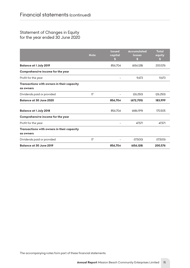# *Statement of Changes in Equity for the year ended 30 June 2020*

|                                                         | <b>Note</b> | <b>Issued</b><br>capital<br>S | <b>Accumulated</b><br>losses<br>S | <b>Total</b><br>equity<br>S |
|---------------------------------------------------------|-------------|-------------------------------|-----------------------------------|-----------------------------|
| <b>Balance at 1 July 2019</b>                           |             | 856,704                       | (656, 128)                        | 200,576                     |
| Comprehensive income for the year                       |             |                               |                                   |                             |
| Profit for the year                                     |             |                               | 9.673                             | 9.673                       |
| Transactions with owners in their capacity<br>as owners |             |                               |                                   |                             |
| Dividends paid or provided                              | 17          |                               | (26, 250)                         | (26, 250)                   |
| Balance at 30 June 2020                                 |             | 856,704                       | (672, 705)                        | 183,999                     |
| <b>Balance at 1 July 2018</b>                           |             | 856,704                       | (686,199)                         | 170,505                     |
| Comprehensive income for the year                       |             |                               |                                   |                             |
| Profit for the year                                     |             |                               | 47.571                            | 47.571                      |
| Transactions with owners in their capacity<br>as owners |             |                               |                                   |                             |
| Dividends paid or provided                              | 17          |                               | (17,500)                          | (17,500)                    |
| <b>Balance at 30 June 2019</b>                          |             | 856,704                       | (656, 128)                        | 200,576                     |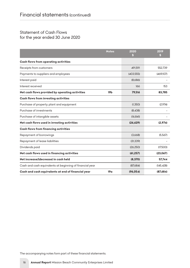# *Statement of Cash Flows for the year ended 30 June 2020*

|                                                          | <b>Notes</b>    | 2020<br>S  | 2019<br>S  |
|----------------------------------------------------------|-----------------|------------|------------|
| <b>Cash flows from operating activities</b>              |                 |            |            |
| Receipts from customers                                  |                 | 491.591    | 552,739    |
| Payments to suppliers and employees                      |                 | (403, 555) | (469,107)  |
| Interest paid                                            |                 | (8.686)    |            |
| Interest received                                        |                 | 166        | 153        |
| Net cash flows provided by operating activities          | 19 <sub>b</sub> | 79,516     | 83,785     |
| <b>Cash flows from investing activities</b>              |                 |            |            |
| Purchase of property, plant and equipment                |                 | (1.350)    | (2.974)    |
| Purchase of investments                                  |                 | (8.438)    |            |
| Purchase of intangible assets                            |                 | (16.841)   |            |
| Net cash flows used in investing activities              |                 | (26, 629)  | (2,974)    |
| <b>Cash flows from financing activities</b>              |                 |            |            |
| Repayment of borrowings                                  |                 | (3.668)    | (5.567)    |
| Repayment of lease liabilities                           |                 | (31, 339)  |            |
| Dividends paid                                           |                 | (26, 250)  | (17,500)   |
| Net cash flows used in financing activities              |                 | (61, 257)  | (23,067)   |
| Net increase/(decrease) in cash held                     |                 | (8, 370)   | 57,744     |
| Cash and cash equivalents at beginning of financial year |                 | (87.684)   | (145, 428) |
| Cash and cash equivalents at end of financial year       | 19 <sub>a</sub> | (96, 054)  | (87,684)   |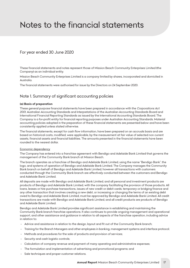# <span id="page-17-0"></span>*Notes to the financial statements*

# *For year ended 30 June 2020*

*These financial statements and notes represent those of Mission Beach Community Enterprises Limited (the Company) as an individual entity.*

*Mission Beach Community Enterprises Limited is a company limited by shares, incorporated and domiciled in Australia.*

*The financial statements were authorised for issue by the Directors on 24 September 2020.*

# *Note 1. Summary of significant accounting policies*

#### *(a) Basis of preparation*

*These general purpose financial statements have been prepared in accordance with the Corporations Act 2001, Australian Accounting Standards and Interpretations of the Australian Accounting Standards Board and International Financial Reporting Standards as issued by the International Accounting Standards Board. The Company is a for-profit entity for financial reporting purposes under Australian Accounting Standards. Material accounting policies adopted in the preparation of these financial statements are presented below and have been consistently applied unless stated otherwise.*

*The financial statements, except for cash flow information, have been prepared on an accruals basis and are based on historical costs, modified, were applicable, by the measurement at fair value of selected non current assets, financial assets and financial liabilities. The amounts presented in the financial statements have been rounded to the nearest dollar.*

#### *Economic dependency*

*The Company has entered into a franchise agreement with Bendigo and Adelaide Bank Limited that governs the management of the Community Bank branch at Mission Beach.*

*The branch operates as a franchise of Bendigo and Adelaide Bank Limited, using the name "Bendigo Bank", the logo, and systems of operation of Bendigo and Adelaide Bank Limited. The Company manages the Community Bank branch on behalf of Bendigo and Adelaide Bank Limited, however all transactions with customers conducted through the Community Bank branch are effectively conducted between the customers and Bendigo and Adelaide Bank Limited.*

*All deposits are made with Bendigo and Adelaide Bank Limited, and all personal and investment products are products of Bendigo and Adelaide Bank Limited, with the company facilitating the provision of those products. All loans, leases or hire purchase transactions, issues of new credit or debit cards, temporary or bridging finance and any other transaction that involves creating a new debt, or increasing or changing the terms of an existing debt owed to Bendigo and Adelaide Bank Limited, must be approved by Bendigo and Adelaide Bank Limited. All credit transactions are made with Bendigo and Adelaide Bank Limited, and all credit products are products of Bendigo and Adelaide Bank Limited.*

*Bendigo and Adelaide Bank Limited provides significant assistance in establishing and maintaining the Community Bank branch franchise operations. It also continues to provide ongoing management and operational support, and other assistance and guidance in relation to all aspects of the franchise operation, including advice in relation to:*

- *Advice and assistance in relation to the design, layout and fit out of the Community Bank branch;*
- *Training for the Branch Managers and other employees in banking, management systems and interface protocol;*
- *Methods and procedures for the sale of products and provision of services;*
- *Security and cash logistic controls;*
- *Calculation of company revenue and payment of many operating and administrative expenses;*
- The formulation and implementation of advertising and promotional programs; and
- Sale techniques and proper customer relations.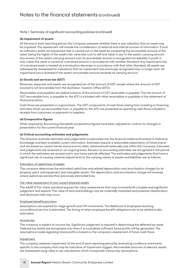#### *(b) Impairment of assets*

*At the end of each reporting period, the Company assesses whether there is any indication that an asset may be impaired. The assessment will include the consideration of external and internal sources of information. If such an indication exists, an impairment test is carried out on the asset by comparing the recoverable amount of the asset, being the higher of the asset's fair value less cost to sell and value in use, to the asset's carrying amount. Any excess of the asset's carrying amount over its recoverable amount is recognised immediately in profit or loss, unless the asset is carried at a revalued amount in accordance with another Standard. Any impairment loss of a revalued asset is treated as a revaluation decrease in accordance with that other Standard. All assets are subsequently reassessed for indications that an impairment loss previously recognised may no longer exist. An impairment loss is reversed if the asset's recoverable amount exceeds its carrying amount.*

#### *(c) Goods and services tax (GST)*

*Revenues, expenses and assets are recognised net of the amount of GST, except where the amount of GST incurred is not recoverable from the Australian Taxation Office (ATO).*

*Receivables and payables are stated inclusive of the amount of GST receivable or payable. The net amount of GST recoverable from, or payable to, the ATO is included with other receivables or payables in the statement of financial position.*

*Cash flows are presented on a gross basis. The GST components of cash flows arising from investing or financing activities which are recoverable from, or payable to, the ATO are presented as operating cash flows included in receipts from customers or payments to suppliers.*

#### *(d) Comparative figures*

*When required by Accounting Standards comparative figures have been adjusted to conform to changes in presentation for the current financial year.*

#### *(e) Critical accounting estimates and judgements*

*The Directors evaluate estimates and judgements incorporated into the financial statements based on historical knowledge and best available current information. Estimates assume a reasonable expectation of future events and are based on current trends and economic data, obtained both externally and within the Company. Estimates and judgements are reviewed on an ongoing basis. Revision to accounting estimates are recognised in the period in which the estimates are revised and in any future periods affected. The estimates and judgements that have a significant risk of causing material adjustments to the carrying values of assets and liabilities are as follows:*

#### *Estimation of useful lives of assets*

*The company determines the estimated useful lives and related depreciation and amortisation charges for its property, plant and equipment and intangible assets. The depreciation and amortisation charge will increase where useful lives are less than previously estimated lives.*

#### *Fair value assessment of non-current physical assets*

*The AASB 13 Fair Value standard requires fair value assessments that may involved both complex and significant judgement and experts. The value of land and buildings may be materially misstated and potential classification and disclosure risks may occur.*

#### *Employee benefits provision*

*Assumptions are required for wage growth and CPI movements. The likelihood of employees reaching unconditional service is estimated. The timing of when employee benefit obligations are to be settled is also estimated.*

#### *Income tax*

*The company is subject to income tax. Significant judgement is required in determining the deferred tax asset. Deferred tax assets are recognised only when it is considered sufficient future profits will be generated. The assumptions made regarding future profits is based on the company's assessment of future cash flows.*

#### *Impairment*

*The company assesses impairment at the end of each reporting period by evaluating conditions and events specific to the company that may be indicative of impairment triggers. Recoverable amounts of relevant assets are reassessed using value in use calculations which incorporate various key assumptions.*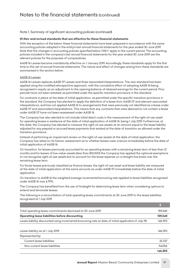#### *(f) New and revised standards that are effective for these financial statements*

*With the exception of the below, these financial statements have been prepared in accordance with the same accounting policies adopted in the entity's last annual financial statements for the year ended 30 June 2019. Note that the changes in accounting policies specified below ONLY apply to the current period. The accounting policies included in the company's last annual financial statements for the year ended 30 June 2019 are the relevant policies for the purposes of comparatives.*

*AASB 16 Leases became mandatorily effective on 1 January 2019. Accordingly, these standards apply for the first*  time to this set of annual financial statements. The nature and effect of changes arising from these standards are *summarised in the section below.*

#### *AASB 16 Leases*

*AASB 16 Leases replaces AASB 117 Leases and three associated Interpretations. The new standard has been applied using the modified retrospective approach, with the cumulative effect of adopting AASB 16 being recognised in equity as an adjustment to the opening balance of retained earnings for the current period. Prior periods have not been restated, as permitted under the specific transition provisions in the standard.*

*For contracts in place at the date of initial application, as permitted under the specific transition provisions in the standard, the Company has elected to apply the definition of a lease from AASB 117 and relevant associated interpretations, and has not applied AASB 16 to arrangements that were previously not identified as a lease under AASB 117 and associated interpretations. This means that any contracts that were deemed to not contain a lease under AASB 117 have not been reassessed under AASB 16.*

*The Company has also elected to not include initial direct costs in the measurement of the right-of-use asset for operating leases in existence at the date of initial application of AASB 16, being 1 July 2019. Furthermore, at this date, the Company has elected to measure the right-of-use assets at an amount equal to the lease liability adjusted for any prepaid or accrued lease payments that existed at the date of transition as allowed under the transition provisions.*

*Instead of performing an impairment review on the right-of-use assets at the date of initial application, the Company has relied on its historic assessment as to whether leases were onerous immediately before the date of initial application of AASB 16.*

*On transition, for leases previously accounted for as operating leases with a remaining lease term of less than 12 months and for leases of low-value-assets (less than \$10,000) the Company has applied the optional exemptions*  to not recognise right-of-use assets but to account for the lease expense on a straight-line basis over the *remaining lease term.*

For those leases previously classified as finance leases, the right-of-use asset and lease liability are measured *at the date of initial application at the same amounts as under AASB 117 immediately before the date of initial application.*

*On transition to AASB 16 the weighted average incremental borrowing rate applied to lease liabilities recognised under AASB 16 was 4.79%.*

*The Company has benefited from the use of hindsight for determining lease term when considering options to extend and terminate leases.*

*The following is a reconciliation of total operating lease commitments at 30 June 2019 to the lease liabilities recognised at 1 July 2019.*

| Total operating lease commitments disclosed at 30 June 2019                                            | 159,340 |
|--------------------------------------------------------------------------------------------------------|---------|
| <b>Operating lease liabilities before discounting</b>                                                  | 159.340 |
| Lease liability discounted using incremental borrowing rate at date of initial application (1 July 19) | 146.393 |
|                                                                                                        |         |
| Lease liability as at 1 July 2019                                                                      | 146.393 |
| Represented by:                                                                                        |         |
| Current lease liabilities                                                                              | 32.337  |
| Non-current lease liabilities                                                                          | 114.056 |
|                                                                                                        | 146.393 |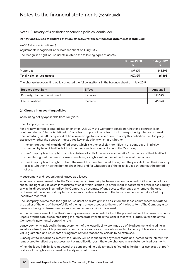#### *(f) New and revised standards that are effective for these financial statements (continued)*

#### *AASB 16 Leases (continued)*

*Adjustments recognised in the balance sheet on 1 July 2019*

*The recognised right-of-use assets relate to the following types of assets:*

|                           | 30 June 2020 | <b>1 July 2019</b> |
|---------------------------|--------------|--------------------|
| Properties                | 107.325      | 146.393            |
| Total right-of-use assets | 107.325      | 146,393            |

*The change in accounting policy affected the following items in the balance sheet on 1 July 2019:*

| Balance sheet item            | Effect   | Amount \$ |
|-------------------------------|----------|-----------|
| Property, plant and equipment | Increase | 146.393   |
| Lease liabilities             | Increase | 146.393   |

#### *(g) Change in accounting policies*

*Accounting policy applicable from 1 July 2019*

#### *The Company as a lessee*

For any new contracts entered into on or after 1 July 2019, the Company considers whether a contract is, or *contains a lease. A lease is defined as 'a contract, or part of a contract, that conveys the right to use an asset (the underlying asset) for a period of time in exchange for consideration'. To apply this definition the Company assesses whether the contract meets three key evaluations which are whether:*

- *- the contract contains an identified asset, which is either explicitly identified in the contract or implicitly specified by being identified at the time the asset is made available to the Company*
- *- the Company has the right to obtain substantially all of the economic benefits from the use of the identified asset throughout the period of use, considering its rights within the defined scope of the contract*
- *- the Company has the right to direct the use of the identified asset throughout the period of use. The Company assess whether it has the right to direct 'how and for what purpose' the asset is used throughout the period of use.*

#### *Measurement and recognition of leases as a lessee*

*At lease commencement date, the Company recognises a right-of-use asset and a lease liability on the balance sheet. The right-of-use asset is measured at cost, which is made up of the initial measurement of the lease liability, any initial direct costs incurred by the Company, an estimate of any costs to dismantle and remove the asset at the end of the lease, and any lease payments made in advance of the lease commencement date (net any incentives received).*

*The Company depreciates the right-of-use asset on a straight-line basis from the lease commencement date to the earlier of the end of the useful life of the right-of-use asset or to the end of the lease term. The Company also assesses the right-of-use asset for impairment when such indicators exist.*

*At the commencement date, the Company measures the lease liability at the present value of the lease payments*  unpaid at that date, discounted using the interest rate implicit in the lease if that rate is readily available or the *Company's incremental borrowing rate.*

Lease payments included in the measurement of the lease liability are made up of fixed payments (including in *substance fixed), variable payments based on an index or rate, amounts expected to be payable under a residual value guarantee and payments arising from options reasonably certain to be exercised.*

*Subsequent to initial measurement, the liability will be reduced for payments made and increased for interest. It is remeasured to reflect any reassessment or modification, or if there are changes in in-substance fixed payments.*

*When the lease liability is remeasured, the corresponding adjustment is reflected in the right-of-use asset, or profit and loss if the right-of-use asset is already reduced to zero.*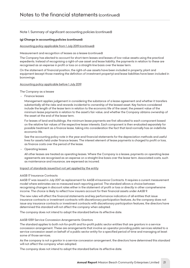#### *(g) Change in accounting policies (continued)*

#### *Accounting policy applicable from 1 July 2019 (continued)*

#### *Measurement and recognition of leases as a lessee (continued)*

*The Company has elected to account for short-term leases and leases of low-value assets using the practical expedients. Instead of recognising a right-of-use asset and lease liability, the payments in relation to these are recognised as an expense in profit or loss on a straight-line basis over the lease term.*

*On the statement of financial position, the right-of-use assets have been included in property, plant and equipment (except those meeting the definition of investment property) and lease liabilities have been included in borrowings.*

#### *Accounting policy applicable before 1 July 2019*

*The Company as a lessee*

 *- Finance leases*

*Management applies judgement in considering the substance of a lease agreement and whether it transfers substantially all the risks and rewards incidental to ownership of the leased asset. Key factors considered include the length of the lease term in relation to the economic life of the asset, the present value of the minimum lease payments in relation to the asset's fair value, and whether the Company obtains ownership of the asset at the end of the lease term.*

*For leases of land and buildings, the minimum lease payments are first allocated to each component based on the relative fair values of the respective lease interests. Each component is then evaluated separately for possible treatment as a finance lease, taking into consideration the fact that land normally has an indefinite economic life.*

See the accounting policy note in the year-end financial statements for the depreciation methods and useful *lives for assets held under finance leases. The interest element of lease payments is charged to profit or loss, as finance costs over the period of the lease.*

*<u>Operating</u>* leases

*All other leases are treated as operating leases. Where the Company is a lessee, payments on operating lease agreements are recognised as an expense on a straight-line basis over the lease term. Associated costs, such as maintenance and insurance, are expensed as incurred.*

#### *Impact of standards issued but not yet applied by the entity*

#### *AASB 17 Insurance Contracts*

*AASB 17 was issued in July 2017 as replacement for AASB 4 Insurance Contracts. It requires a current measurement model where estimates are re-measured each reporting period. The standard allows a choice between recognising changes in discount rates either in the statement of profit or loss or directly in other comprehensive income. The choice is likely to reflect how insurers account for their financial assets under AASB 9.*

*The new rules will affect the financial statements and key performance indicators of all entities that issue insurance contracts or investment contracts with discretionary participation features. As the company does not issue any insurance contracts or investment contracts with discretionary participation features, the directors have determined this standard will not affect the company when adopted.*

*The company does not intend to adopt the standard before its effective date.*

#### *AASB 1059 Service Concession Arrangements: Grantors*

*The standard applies to both not-for-profit and for-profit public sector entities that are grantors in a service concession arrangement. These are arrangements that involve an operator providing public services related to a service concession asset on behalf of a public sector entity for a specified period of time and managing at least some of those services.*

As the company is not a grantor in a service concession arrangement, the directors have determined this standard *will not affect the company when adopted.*

*The company does not intend to adopt the standard before its effective date.*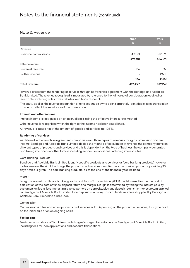### *Note 2. Revenue*

|                       | 2020    | 2019    |
|-----------------------|---------|---------|
|                       | ю       | hг      |
| Revenue               |         |         |
| - service commissions | 496,131 | 536,595 |
|                       | 496,131 | 536,595 |
| Other revenue         |         |         |
| - interest received   | 166     | 153     |
| - other revenue       | -       | 2,500   |
|                       | 166     | 2,653   |
| <b>Total revenue</b>  | 496,297 | 539,248 |

*Revenue arises from the rendering of services through its franchise agreement with the Bendigo and Adelaide Bank Limited. The revenue recognised is measured by reference to the fair value of consideration received or receivable, excluding sales taxes, rebates, and trade discounts.*

*The entity applies the revenue recognition criteria set out below to each separately identifiable sales transaction in order to reflect the substance of the transaction.*

#### *Interest and other income*

*Interest income is recognised on an accrual basis using the effective interest rate method.*

*Other revenue is recognised when the right to the income has been established.*

*All revenue is stated net of the amount of goods and services tax (GST).*

#### *Rendering of services*

*As detailed in the franchise agreement, companies earn three types of revenue - margin, commission and fee income. Bendigo and Adelaide Bank Limited decide the method of calculation of revenue the company earns on different types of products and services and this is dependent on the type of business the company generates also taking into account other factors including economic conditions, including interest rates.*

#### *Core Banking Products*

*Bendigo and Adelaide Bank Limited identify specific products and services as 'core banking products', however it also reserves the right to change the products and services identified as 'core banking products', providing 30 days notice is given. The core banking products, as at the end of the financial year included:*

#### *Margin*

*Margin is earned on all core banking products. A Funds Transfer Pricing (FTP) model is used for the method of calculation of the cost of funds, deposit return and margin. Margin is determined by taking the interest paid by customers on loans less interest paid to customers on deposits, plus any deposit returns, i.e. interest return applied*  by Bendigo and Adelaide Bank Limited for a deposit, minus any costs of funds i.e. interest applied by Bendigo and *Adelaide Bank Limited to fund a loan.*

#### *Commission*

*Commission is a fee earned on products and services sold. Depending on the product or services, it may be paid on the initial sale or on an ongoing basis.*

#### *Fee Income*

*Fee income is a share of 'bank fees and charges' charged to customers by Bendigo and Adelaide Bank Limited, including fees for loan applications and account transactions.*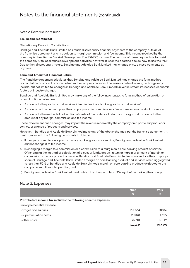#### *Note 2. Revenue (continued)*

#### *Fee Income (continued)*

#### *Discretionary Financial Contributions*

*Bendigo and Adelaide Bank Limited has made discretionary financial payments to the company, outside of the franchise agreement and in addition to margin, commission and fee income. This income received by the company is classified as "Market Development Fund" (MDF) income. The purpose of these payments is to assist the company with local market development activities, however, it is for the board to decide how to use the MDF. Due to their discretionary nature, Bendigo and Adelaide Bank Limited may change or stop these payments at any time.*

#### *Form and Amount of Financial Return*

*The franchise agreement stipulates that Bendigo and Adelaide Bank Limited may change the form, method of calculation or amount of financial return the company receives. The reasons behind making a change may include, but not limited to, changes in Bendigo and Adelaide Bank Limited's revenue streams/processes; economic factors or industry changes.*

*Bendigo and Adelaide Bank Limited may make any of the following changes to form, method of calculation or amount of financial returns:*

- *- A change to the products and services identified as 'core banking products and services'*
- *- A change as to whether it pays the company margin, commission or fee income on any product or service.*
- *- A change to the method of calculation of costs of funds, deposit return and margin and a change to the amount of any margin, commission and fee income.*

*These abovementioned changes, may impact the revenue received by the company on a particular product or service, or a range of products and services.*

However, if Bendigo and Adelaide Bank Limited make any of the above changes, per the franchise agreement, it *must comply with the following constraints in doing so.*

- *a) If margin or commission is paid on a core banking product or service, Bendigo and Adelaide Bank Limited cannot change it to fee income;*
- *b) In changing a margin to a commission or a commission to a margin on a core banking product or service, OR changing the method of calculation of a cost of funds, deposit return or margin or amount of margin or commission on a core product or service, Bendigo and Adelaide Bank Limited must not reduce the company's share of Bendigo and Adelaide Bank Limited's margin on core banking product and services when aggregated to less than 50% of Bendigo and Adelaide Bank Limited's margin on core banking products attributed to the company's retail branch operation; and*
- *c) Bendigo and Adelaide Bank Limited must publish the change at least 30 days before making the change.*

### *Note 3. Expenses*

|                                                                    | 2020<br>h. | 2019    |
|--------------------------------------------------------------------|------------|---------|
| Profit before income tax includes the following specific expenses: |            |         |
| Employee benefits expense                                          |            |         |
| - wages and salaries                                               | 201.664    | 187.841 |
| - superannuation costs                                             | 20.048     | 19.827  |
| - other costs                                                      | 45.740     | 50.326  |
|                                                                    | 267,452    | 257.994 |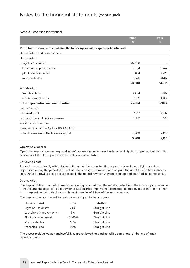#### *Note 3. Expenses (continued)*

|                                                                                | 2020   | 2019   |
|--------------------------------------------------------------------------------|--------|--------|
|                                                                                | S      | S      |
| Profit before income tax includes the following specific expenses: (continued) |        |        |
| Depreciation and amortisation                                                  |        |        |
| Depreciation                                                                   |        |        |
| - Right of Use Asset                                                           | 34.808 |        |
| - leasehold improvements                                                       | 17.004 | 2.944  |
| - plant and equipment                                                          | 1.854  | 2.723  |
| - motor vehicles                                                               | 8,415  | 8,414  |
|                                                                                | 62,081 | 14,081 |
| Amortisation                                                                   |        |        |
| - franchise fees                                                               | 2.204  | 2,204  |
| - establishment costs                                                          | 11.019 | 11.019 |
| Total depreciation and amortisation                                            | 75,304 | 27,304 |
| Finance costs                                                                  |        |        |
| - Interest paid                                                                | 2.557  | 2.347  |
| Bad and doubtful debts expenses                                                | 4.192  | 678    |
| Auditors' remuneration                                                         |        |        |
| Remuneration of the Auditor, RSD Audit, for:                                   |        |        |
| - Audit or review of the financial report                                      | 5.400  | 4.130  |
|                                                                                | 5,400  | 4,130  |

#### *Operating expenses*

*Operating expenses are recognised in profit or loss on an accruals basis, which is typically upon utilisation of the service or at the date upon which the entity becomes liable.*

#### *Borrowing costs*

*Borrowing costs directly attributable to the acquisition, construction or production of a qualifying asset are capitalised during the period of time that is necessary to complete and prepare the asset for its intended use or sale. Other borrowing costs are expensed in the period in which they are incurred and reported in finance costs.*

#### *Depreciation*

*The depreciable amount of all fixed assets, is depreciated over the asset's useful life to the company commencing from the time the asset is held ready for use. Leasehold improvements are depreciated over the shorter of either the unexpired period of the lease or the estimated useful lives of the improvements.*

*The depreciation rates used for each class of depreciable asset are:*

| <b>Class of asset</b>     | Rate   | Method               |
|---------------------------|--------|----------------------|
| <b>Right of Use Asset</b> | 24%    | <b>Straight Line</b> |
| Leasehold improvements    | 3%     | Straight Line        |
| Plant and equipment       | 4%-25% | <b>Straight Line</b> |
| Motor vehicles            | 33%    | <b>Straight Line</b> |
| <b>Franchise Fees</b>     | 20%    | <b>Straight Line</b> |

*The asset's residual values and useful lives are reviewed, and adjusted if appropriate, at the end of each reporting period.*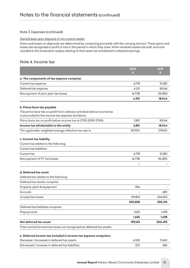#### *Note 3. Expenses (continued)*

#### *Gains/losses upon disposal of non-current assets*

*Gains and losses on disposals are determined by comparing proceeds with the carrying amount. These gains and losses are recognised in profit or loss in the period in which they arise. When revalued assets are sold, amounts included in the revaluation surplus relating to that asset are transferred to retained earnings.*

### *Note 4. Income tax*

|                                                                                                                                 | 2020    | 2019     |
|---------------------------------------------------------------------------------------------------------------------------------|---------|----------|
|                                                                                                                                 | S       | S        |
| a. The components of tax expense comprise:                                                                                      |         |          |
| Current tax expense                                                                                                             | 4,778   | 15,280   |
| Deferred tax expense                                                                                                            | 4,331   | 18,044   |
| Recoupment of prior year tax losses                                                                                             | (4,778) | (15,280) |
|                                                                                                                                 | 4,331   | 18,044   |
| b. Prima facie tax payable                                                                                                      |         |          |
| The prima facie tax on profit from ordinary activities before income tax<br>is reconciled to the income tax expense as follows: |         |          |
| Prima facie tax on profit before income tax at 27.5% (2019: 27.5%)                                                              | 3.851   | 18.044   |
| Income tax attributable to the entity                                                                                           | 3,851   | 18,044   |
| The applicable weighted average effective tax rate is:                                                                          | 30.93%  | 27.50%   |
| c. Current tax liability                                                                                                        |         |          |
| Current tax relates to the following:                                                                                           |         |          |
| <b>Current tax liabilities</b>                                                                                                  |         |          |
| Current tax                                                                                                                     | 4,778   | 15,280   |
| Recoupment of PY tax losses                                                                                                     | (4,778) | (15,280) |
|                                                                                                                                 |         |          |
| d. Deferred tax asset                                                                                                           |         |          |
| Deferred tax relates to the following:                                                                                          |         |          |
| Deferred tax assets comprise:                                                                                                   |         |          |
| Property, plant & equipment                                                                                                     | 954     |          |
| Accruals                                                                                                                        |         | 480      |
| Unused tax losses                                                                                                               | 199,874 | 204,653  |
|                                                                                                                                 | 200,828 | 205,133  |
| Deferred tax liabilities comprise:                                                                                              |         |          |
| Prepayments                                                                                                                     | 1,665   | 1,638    |
|                                                                                                                                 | 1,665   | 1,638    |
| Net deferred tax asset                                                                                                          | 199,163 | 203,495  |
| Total carried forward tax losses not recognised as deferred tax assets:                                                         |         |          |
| e. Deferred income tax included in income tax expense comprises:                                                                |         |          |
| Decrease / (increase) in deferred tax assets                                                                                    | 4,305   | 17,460   |
| (Decrease) / increase in deferred tax liabilities                                                                               | (27)    | 584      |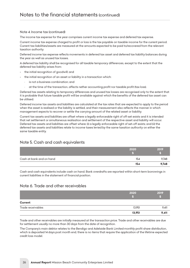#### *Note 4. Income tax (continued)*

*The income tax expense for the year comprises current income tax expense and deferred tax expense.*

*Current income tax expense charged to profit or loss is the tax payable on taxable income for the current period. Current tax liabilities/assets are measured at the amounts expected to be paid to/recovered from the relevant taxation authority.*

*Deferred income tax expense reflects movements in deferred tax asset and deferred tax liability balances during the year as well as unused tax losses.*

*A deferred tax liability shall be recognised for all taxable temporary differences, except to the extent that the deferred tax liability arises from:*

- *the initial recognition of goodwill; and*
- *the initial recognition of an asset or liability in a transaction which:*
	- *• is not a business combination; and*
	- *• at the time of the transaction, affects nether accounting profit nor taxable profit (tax loss).*

*Deferred tax assets relating to temporary differences and unused tax losses are recognised only to the extent that it is probable that future taxable profit will be available against which the benefits of the deferred tax asset can be utilised.*

*Deferred income tax assets and liabilities are calculated at the tax rates that are expected to apply to the period when the asset is realised or the liability is settled, and their measurement also reflects the manner in which management expects to recover or settle the carrying amount of the related asset or liability.*

*Current tax assets and liabilities are offset where a legally enforceable right of off-set exists and it is intended that net settlement or simultaneous realisation and settlement of the respective asset and liability will occur. Deferred tax assets and liabilities are offset where: (i) a legally enforceable right of set-off exists; and (ii) the deferred tax assets and liabilities relate to income taxes levied by the same taxation authority on either the same taxable entity.*

# *Note 5. Cash and cash equivalents*

|                          | 2020 | 2019  |
|--------------------------|------|-------|
|                          |      |       |
| Cash at bank and on hand | 154  | 9,748 |
|                          | 154  | 9,748 |

*Cash and cash equivalents include cash on hand. Bank overdrafts are reported within short-term borrowings in current liabilities in the statement of financial position.*

### *Note 6. Trade and other receivables*

|                   | 2020   | 2019<br>FO 1 |
|-------------------|--------|--------------|
| Current           |        |              |
| Trade receivables | 13,951 | 9,411        |
|                   | 13,951 | 9,411        |

*Trade and other receivables are initially measured at the transaction price. Trade and other receivables are due for settlement usually no more than 30 days from the date of recognition.*

*The Company's main debtor relates to the Bendigo and Adelaide Bank Limited monthly profit share distribution, which is deposited 14 days post month end, there is no items that require the application of the lifetime expected credit loss model.*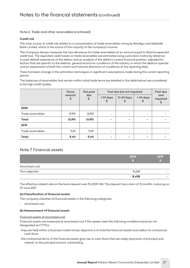*Note 6. Trade and other receivables (continued)*

#### *Credit risk*

*The main source of credit risk relates to a concentration of trade receivables owing by Bendigo and Adelaide Bank Limited, which is the source of the majority of the company's income.*

*The Company always measures the loss allowance for trade receivables at an amount equal to lifetime expected credit loss. The expected credit losses on trade receivables are estimated using a provision matrix by reference to past default experience of the debtor and an analysis of the debtor's current financial position, adjusted for*  factors that are specific to the debtors, general economic conditions of the industry in which the debtors operate *and an assessment of both the current and forecast directions of conditions at the reporting date.*

*There has been change in the estimation techniques or significant assumptions made during the current reporting period.* 

*The balances of receivables that remain within initial trade terms (as detailed in the table below) are considered to be high credit quality.*

|                   | <b>Gross</b> | Not past<br>due<br>$\,$ | Past due but not impaired    |                          |                 | Past due              |
|-------------------|--------------|-------------------------|------------------------------|--------------------------|-----------------|-----------------------|
|                   | amount<br>\$ |                         | < 30 days<br>\$              | 31-60 days<br>\$         | > 60 days<br>\$ | and<br>impaired<br>\$ |
| 2020              |              |                         |                              |                          |                 |                       |
| Trade receivables | 13,951       | 13,951                  | ۰                            | ۰                        | -               |                       |
| <b>Total</b>      | 13,951       | 13,951                  | ۰                            | ۰                        | ۰               |                       |
| 2019              |              |                         |                              |                          |                 |                       |
| Trade receivables | 9,411        | 9,411                   | $\qquad \qquad \blacksquare$ | $\overline{\phantom{a}}$ | -               |                       |
| <b>Total</b>      | 9,411        | 9,411                   | ۰                            | ۰                        | ۰               |                       |

# *Note 7. Financial assets*

|                | 2020  | 2019<br><b>S</b> |
|----------------|-------|------------------|
| Amortised cost |       |                  |
| Term deposits  | 8,438 | -                |
|                | 8,438 | -                |

*The effective interest rate on the bank deposit was 1% (2019: Nil). This deposit has a term of 12 months, maturing on 23 June 2021.*

#### *(a) Classification of financial assets*

*The company classifies its financial assets in the following categories:*

*- amortised cost*

#### *(b) Measurement of financial assets*

#### *Financial assets at amortised cost*

*Financial assets are measured at amortised cost if the assets meet the following conditions (and are not designated as FVTPL):*

- *they are held within a business model whose objective is to hold the financial assets and collect its contractual cash flows*
- *the contractual terms of the financial assets give rise to cash flows that are solely payments of principal and interest on the principal amount outstanding*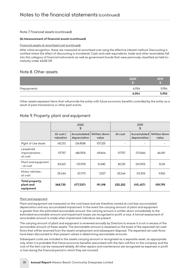#### *Note 7. Financial assets (continued)*

#### *(b) Measurement of financial assets (continued)*

#### *Financial assets at amortised cost (continued)*

*After initial recognition, these are measured at amortised cost using the effective interest method. Discounting is omitted where the effect of discounting is immaterial. Cash and cash equivalents, trade and other receivables fall into this category of financial instruments as well as government bonds that were previously classified as held-tomaturity under AASB 139.*

## *Note 8. Other assets*

|             | 2020  | 2019  |
|-------------|-------|-------|
| Prepayments | 6,054 | 5,956 |
|             | 6,054 | 5,956 |

*Other assets represent items that will provide the entity with future economic benefits controlled by the entity as a result of past transactions or other past events.*

|                                           | 2020<br>\$              |                             |                       | 2019<br>\$ |                             |                       |
|-------------------------------------------|-------------------------|-----------------------------|-----------------------|------------|-----------------------------|-----------------------|
|                                           | At $cost/$<br>valuation | Accumulated<br>depreciation | Written down<br>value | At cost    | Accumulated<br>depreciation | Written down<br>value |
| Right of Use Asset                        | 142,133                 | (34,808)                    | 107,325               |            |                             |                       |
| Leasehold<br>improvements -<br>at cost    | 117.757                 | (48.093)                    | 69.664                | 117.757    | (71.066)                    | 46.691                |
| Plant and equipment<br>- at cost          | 83,601                  | (72,919)                    | 10.682                | 82.251     | (31,090)                    | 51,161                |
| Motor vehicles -<br>at cost               | 25,244                  | (21,717)                    | 3,527                 | 25,244     | (13,301)                    | 11.943                |
| Total property,<br>plant and<br>equipment | 368,735                 | (177, 537)                  | 191,198               | 225,252    | (115, 457)                  | 109,795               |

### *Note 9. Property, plant and equipment*

#### *Plant and equipment*

*Plant and equipment are measured on the cost basis and are therefore carried at cost less accumulated depreciation and any accumulated impairment. In the event the carrying amount of plant and equipment*  is greater than the estimated recoverable amount, the carrying amount is written down immediately to the *estimated recoverable amount and impairment losses are recognised in profit or loss. A formal assessment of recoverable amount is made when impairment indicators are present.*

*The carrying amount of plant and equipment is reviewed annually by Directors to ensure it is not in excess of the recoverable amount of these assets. The recoverable amount is assessed on the basis of the expected net cash flows that will be received from the asset's employment and subsequent disposal. The expected net cash flows have been discounted to their present values in determining recoverable amounts.*

*Subsequent costs are included in the assets carrying amount or recognised as a separate asset, as appropriate, only when it is probable that future economic benefits associated with the item will flow to the company and the*  cost of the item can be measured reliably. All other repairs and maintenance are recognised as expenses in profit *or loss during the financial period in which they are incurred.*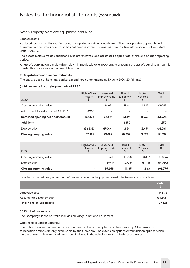#### *Note 9. Property, plant and equipment (continued)*

#### *Leased assets*

*As described in Note 1(h), the Company has applied AASB 16 using the modified retrospective approach and therefore comparative information has not been restated. This means comparative information is still reported under AASB 17.*

*The assets' residual values and useful lives are reviewed, and adjusted if appropriate, at the end of each reporting period.*

*An asset's carrying amount is written down immediately to its recoverable amount if the asset's carrying amount is greater than its estimated recoverable amount.*

#### *(a) Capital expenditure commitments*

*The entity does not have any capital expenditure commitments at 30 June 2020 (2019: None)*

#### *(b) Movements in carrying amounts of PP&E*

| 2020                               | <b>Right of Use</b><br><b>Assets</b><br>\$ | Leasehold<br>Improvements<br>S | Plant &<br>Equipment<br>\$ | Motor<br><b>Vehicles</b><br>\$ | Total<br>\$ |
|------------------------------------|--------------------------------------------|--------------------------------|----------------------------|--------------------------------|-------------|
| Opening carrying value             |                                            | 46.691                         | 51.161                     | 11.943                         | 109.795     |
| Adjustment for adoption of AASB 16 | 142.133                                    | $\overline{\phantom{a}}$       |                            |                                |             |
| Restated opening net book amount   | 142.133                                    | 46,691                         | 51,161                     | 11.943                         | 251,928     |
| Additions                          | $\overline{\phantom{a}}$                   | $\overline{\phantom{a}}$       | 1.350                      |                                | 1.350       |
| Depreciation                       | (34.808)                                   | (17.004)                       | (1.854)                    | (8.415)                        | (62.081)    |
| <b>Closing carrying value</b>      | 107,325                                    | 29.687                         | 50.657                     | 3,528                          | 191,197     |

| 2019                          | Right of Use<br><b>Assets</b><br>\$ | Leasehold<br>Improvements | Plant &<br>Equipment | Motor<br><b>Vehicles</b> | Total<br>\$ |
|-------------------------------|-------------------------------------|---------------------------|----------------------|--------------------------|-------------|
| Opening carrying value        |                                     | 89.611                    | 13.908               | 20.357                   | 123,876     |
| Depreciation                  |                                     | (2.943)                   | (2.723)              | (8.414)                  | (14,080)    |
| <b>Closing carrying value</b> | -                                   | 86.668                    | 11.185               | 11,943                   | 109.796     |

*Included in the net carrying amount of property, plant and equipment are right-of-use assets as follows:*

|                                 | 2020     |
|---------------------------------|----------|
| <b>Leased Assets</b>            | 142.133  |
| <b>Accumulated Depreciation</b> | (34.808) |
| Total right-of-use assets       | 107,325  |

#### *(c) Right of use assets*

*The Company's lease portfolio includes buildings, plant and equipment.*

#### *Options to extend or terminate*

*The option to extend or terminate are contained in the property lease of the Company. All extension or termination options are only exercisable by the Company. The extension options or termination options which were probable to be exercised have been included in the calculation of the Right of use asset.*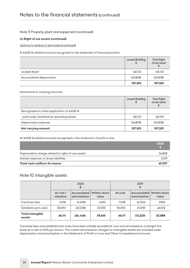#### *Note 9. Property, plant and equipment (continued)*

#### *(c) Right of use assets (continued)*

*Options to extend or terminate (continued)*

*(i) AASB 16 related amounts recognised in the statement of financial position*

|                          | <b>Leased Building</b><br>\$ | <b>Total Right</b><br>of use asset |
|--------------------------|------------------------------|------------------------------------|
| Leased Asset             | 142,133                      | 142,133                            |
| Accumulated depreciation | (34,808)                     | (34,808)                           |
|                          | 107,325                      | 107,325                            |

*Movements in carrying amounts:*

|                                              | <b>Leased Building</b><br>S | <b>Total Right</b><br>of use asset<br>\$ |
|----------------------------------------------|-----------------------------|------------------------------------------|
| Recognised on initial application of AASB 16 |                             |                                          |
| - previously classified as operating leases  | 142.133                     | 142,133                                  |
| Depreciation expense                         | (34,808)                    | (34,808)                                 |
| Net carrying amount                          | 107,325                     | 107,325                                  |

*(ii) AASB 16 related amounts recognised in the statement of profit or loss*

|                                                    | 2020   |
|----------------------------------------------------|--------|
| Depreciation charge related to right-of-use assets | 34.808 |
| Interest expense on lease liabilities              | 6.129  |
| Total cash outflows for leases                     | 40.937 |

# *Note 10. Intangible assets*

|                            | 2020<br>\$             |                             | 2019<br>\$            |         |                             |                       |
|----------------------------|------------------------|-----------------------------|-----------------------|---------|-----------------------------|-----------------------|
|                            | At cost /<br>valuation | Accumulated<br>amortisation | Written down<br>value | At cost | Accumulated<br>amortisation | Written down<br>value |
| Franchise fees             | 11.018                 | (4.408)                     | 6.610                 | 11.018  | (2.204)                     | 8.814                 |
| Establishment costs        | 55,093                 | (22.038)                    | 33.055                | 55,093  | (11.019)                    | 44.074                |
| Total intangible<br>assets | 66,111                 | (26, 446)                   | 39,665                | 66,111  | (13, 223)                   | 52,888                |

*Franchise fees and establishment costs have been initially recorded at cost and amortised on a straight line basis at a rate of 20% per annum. The current amortisation charges for intangible assets are included under depreciation and amortisation in the Statement of Profit or Loss and Other Comprehensive Income.*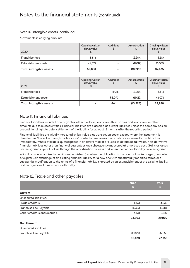#### *Note 10. Intangible assets (continued)*

*Movements in carrying amounts*

| 2020                    | Opening written<br>down value | <b>Additions</b><br>\$   | Amortisation<br>S | Closing written<br>down value |
|-------------------------|-------------------------------|--------------------------|-------------------|-------------------------------|
| Franchise fees          | 8.814                         | $\overline{\phantom{0}}$ | (2,204)           | 6,610                         |
| Establishment costs     | 44.074                        | $\overline{\phantom{a}}$ | (11.019)          | 33.055                        |
| Total intangible assets | 52,888                        |                          | (13, 223)         | 39,665                        |

| 2019                    | Opening written<br>down value | <b>Additions</b> | Amortisation<br>\$ | Closing written<br>down value |
|-------------------------|-------------------------------|------------------|--------------------|-------------------------------|
| Franchise fees          | $\overline{\phantom{a}}$      | 11.018           | (2.204)            | 8.814                         |
| Establishment costs     |                               | 55,093           | (11, 019)          | 44,074                        |
| Total intangible assets | ۰                             | 66,111           | (13, 223)          | 52,888                        |

# *Note 11. Financial liabilities*

*Financial liabilities include trade payables, other creditors, loans from third parties and loans from or other amounts due to related entities. Financial liabilities are classified as current liabilities unless the company has an unconditional right to defer settlement of the liability for at least 12 months after the reporting period.*

*Financial liabilities are initially measured at fair value plus transaction costs, except where the instrument is classified as "fair value through profit or loss", in which case transaction costs are expensed to profit or loss immediately. Where available, quoted prices in an active market are used to determine fair value. Non-derivative financial liabilities other than financial guarantees are subsequently measured at amortised cost. Gains or losses are recognised in profit or loss through the amortisation process and when the financial liability is derecognised.*

*A liability is derecognised when it is extinguished (i.e. when the obligation in the contract is discharged, cancelled or expires). An exchange of an existing financial liability for a new one with substantially modified terms, or a substantial modification to the terms of a financial liability, is treated as an extinguishment of the existing liability and recognition of a new financial liability.*

# *Note 12. Trade and other payables*

|                              | 2020   | 2019   |
|------------------------------|--------|--------|
|                              | \$     | S      |
| Current                      |        |        |
| Unsecured liabilities:       |        |        |
| Trade creditors              | 1,873  | 4,338  |
| Franchise Fee Payable        | 15,433 | 15,784 |
| Other creditors and accruals | 6,198  | 8,887  |
|                              | 23,504 | 29,009 |
| <b>Non Current</b>           |        |        |
| Unsecured liabilities:       |        |        |
| Franchise Fee Payable        | 30,863 | 47,353 |
|                              | 30,863 | 47,353 |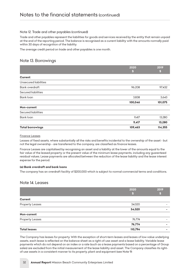#### *Note 12. Trade and other payables (continued)*

*Trade and other payables represent the liabilities for goods and services received by the entity that remain unpaid at the end of the reporting period. The balance is recognised as a current liability with the amounts normally paid within 30 days of recognition of the liability.*

*The average credit period on trade and other payables is one month.*

# *Note 13. Borrowings*

|                         | 2020    | 2019    |
|-------------------------|---------|---------|
|                         | S       | S       |
| <b>Current</b>          |         |         |
| Unsecured liabilities   |         |         |
| <b>Bank overdraft</b>   | 96,208  | 97,432  |
| Secured liabilities     |         |         |
| Bank loan               | 3,838   | 3,643   |
|                         | 100,046 | 101,075 |
| Non-current             |         |         |
| Secured liabilities     |         |         |
| Bank loan               | 9,417   | 13,280  |
|                         | 9,417   | 13,280  |
| <b>Total borrowings</b> | 109,463 | 114,355 |

#### *Finance Leases*

*Leases of fixed assets, where substantially all the risks and benefits incidental to the ownership of the asset - but not the legal ownership - are transferred to the company, are classified as finance leases.*

*Finance Leases are capitalised by recognising an asset and a liability at the lower of the amounts equal to the fair value of the leased property or the present value of the minimum lease payments, including any guarenteed residual values. Lease payments are allocated between the reduction of the lease liability and the lease interest expense for the period.*

#### *(a) Bank overdraft and bank loans*

*The company has an overdraft facility of \$200,000 which is subject to normal commercial terms and conditions.*

#### *Note 14. Leases*

|                        | 2020    | 2019 |
|------------------------|---------|------|
|                        |         | IS.  |
| Current                |         |      |
| <b>Property Leases</b> | 34,020  |      |
|                        | 34,020  | -    |
| Non-current            |         |      |
| <b>Property Leases</b> | 76,774  | -    |
|                        | 76,774  |      |
| <b>Total leases</b>    | 110,794 | -    |

*The Company has leases for property. With the exception of short-term leases and leases of low-value underlying*  assets, each lease is reflected on the balance sheet as a right-of-use asset and a lease liability. Variable lease *payments which do not depend on an index or a rate (such as a lease payments based on a percentage of Group sales) are excluded from the initial measurement of the lease liability and asset. The Company classifies its rightof-use assets in a consistent manner to its property, plant and equipment (see Note 9)*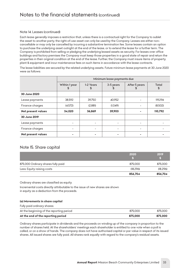#### *Note 14. Leases (continued)*

*Each lease generally imposes a restriction that, unless there is a contractual right for the Company to sublet the asset to another party, the right-of-use asset can only be used by the Company. Leases are either noncancellable or may only be cancelled by incurring a substantive termination fee. Some leases contain an option*  to purchase the underlying asset outright at the end of the lease, or to extend the lease for a further term. The *Company is prohibited from selling or pledging the underlying leased assets as security. For leases over office buildings and factory premises the Company must keep those properties in a good state of repair and return the properties in their original condition at the end of the lease. Further, the Company must insure items of property, plant & equipment and incur maintenance fees on such items in accordance with the lease contracts.*

*The lease liabilities are secured by the related underlying assets. Future minimum lease payments at 30 June 2020 were as follows:*

|                           | Minimum lease payments due |                 |                 |                     |                    |
|---------------------------|----------------------------|-----------------|-----------------|---------------------|--------------------|
|                           | Within 1 year<br>\$        | 1-2 Years<br>25 | 3-5 years<br>£. | After 5 years<br>25 | <b>Total</b><br>\$ |
| 30 June 2020              |                            |                 |                 |                     |                    |
| Lease payments            | 38,592                     | 39,750          | 40,952          |                     | 119,294            |
| Finance charges           | (4,572)                    | (2,881)         | (1,049)         |                     | (8,502)            |
| Net present values        | 34,020                     | 36,869          | 39,903          |                     | 110,792            |
| 30 June 2019              |                            |                 |                 |                     |                    |
| Lease payments            |                            |                 |                 |                     |                    |
| Finance charges           |                            |                 |                 |                     |                    |
| <b>Net present values</b> |                            |                 |                 |                     |                    |

# *Note 15. Share capital*

|                                    | 2020     | 2019      |
|------------------------------------|----------|-----------|
|                                    |          |           |
| 875,000 Ordinary shares fully paid | 875,000  | 875,000   |
| Less: Equity raising costs         | (18.296) | (18, 296) |
|                                    | 856,704  | 856,704   |

*Ordinary shares are classified as equity.*

*Incremental costs directly attributable to the issue of new shares are shown in equity as a deduction from the proceeds.*

#### *(a) Movements in share capital*

| At the end of the reporting period       | 875,000 | 875,000 |
|------------------------------------------|---------|---------|
| At the beginning of the reporting period | 875,000 | 875,000 |
| Fully paid ordinary shares:              |         |         |

*Ordinary shares participate in dividends and the proceeds on winding up of the company in proportion to the number of shares held. At the shareholders' meetings each shareholder is entitled to one vote when a poll is called, or on a show of hands. The company does not have authorised capital or par value in respect of its issued shares. All issued shares are fully paid. All shares rank equally with regard to the company's residual assets.*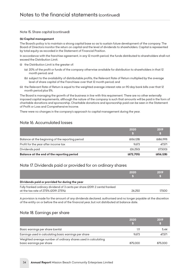#### *Note 15. Share capital (continued)*

#### *(b) Capital management*

*The Board's policy is to maintain a strong capital base so as to sustain future development of the company. The Board of Directors monitor the return on capital and the level of dividends to shareholders. Capital is represented by total equity as recorded in the Statement of Financial Position.*

In accordance with the franchise agreement, in any 12 month period, the funds distributed to shareholders shall not *exceed the Distribution Limit.*

- *(i) the Distribution Limit is the greater of:*
	- *(a) 20% of the profit or funds of the company otherwise available for distribution to shareholders in that 12 month period; and*
	- *(b) subject to the availability of distributable profits, the Relevant Rate of Return multiplied by the average level of share capital of the Franchisee over that 12 month period; and*
- *(ii) the Relevant Rate of Return is equal to the weighted average interest rate on 90 day bank bills over that 12 month period plus 5%.*

*The Board is managing the growth of the business in line with this requirement. There are no other externally imposed capital requirements, although the nature of the company is such that amounts will be paid in the form of charitable donations and sponsorship. Charitable donations and sponsorship paid can be seen in the Statement of Profit or Loss and Comprehensive Income.*

*There were no changes in the company's approach to capital management during the year.*

### *Note 16. Accumulated losses*

|                                                  | 2020       | 2019       |
|--------------------------------------------------|------------|------------|
| Balance at the beginning of the reporting period | (656.128)  | (686.199)  |
| Profit for the year after income tax             | 9.673      | 47.571     |
| Dividends paid                                   | (26.250)   | (17.500)   |
| Balance at the end of the reporting period       | (672, 705) | (656, 128) |

# *Note 17. Dividends paid or provided for on ordinary shares*

|                                                                                                                         | 2020   | 2019   |
|-------------------------------------------------------------------------------------------------------------------------|--------|--------|
| Dividends paid or provided for during the year                                                                          |        |        |
| Fully franked ordinary dividend of 3 cents per share (2019: 2 cents) franked<br>at the tax rate of 27.5% (2019: 27.5%). | 26.250 | 17.500 |

*A provision is made for the amount of any dividends declared, authorised and no longer payable at the discretion of the entity on or before the end of the financial year, but not distributed at balance date.*

### *Note 18. Earnings per share*

|                                                                                            | 2020    | 2019    |
|--------------------------------------------------------------------------------------------|---------|---------|
| Basic earnings per share (cents)                                                           | 1.11    | 5.44    |
| Earnings used in calculating basic earnings per share                                      | 9.673   | 47.571  |
| Weighted average number of ordinary shares used in calculating<br>basic earnings per share | 875,000 | 875,000 |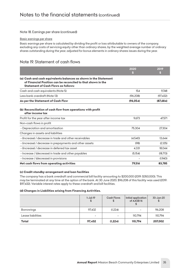#### *Note 18. Earnings per share (continued)*

#### *Basic earnings per share*

*Basic earnings per share is calculated by dividing the profit or loss attributable to owners of the company, excluding any costs of servicing equity other than ordinary shares, by the weighted average number of ordinary shares outstanding during the year, adjusted for bonus elements in ordinary shares issues during the year.*

# *Note 19. Statement of cash flows*

|                                                                                                                                                                                | 2020      | 2019     |
|--------------------------------------------------------------------------------------------------------------------------------------------------------------------------------|-----------|----------|
| (a) Cash and cash equivalents balances as shown in the Statement<br>of Financial Position can be reconciled to that shown in the<br><b>Statement of Cash Flows as follows:</b> | S         | S        |
| Cash and cash equivalents (Note 5)                                                                                                                                             | 154       | 9.748    |
| Less bank overdraft (Note 13)                                                                                                                                                  | (96, 208) | (97.432) |
| As per the Statement of Cash Flow                                                                                                                                              | (96, 054) | (87,684) |
| (b) Reconciliation of cash flow from operations with profit<br>after income tax                                                                                                |           |          |
| Profit for the year after income tax                                                                                                                                           | 9.673     | 47.571   |
| Non-cash flows in profit                                                                                                                                                       |           |          |
| - Depreciation and amortisation                                                                                                                                                | 75.304    | 27.304   |
| Changes in assets and liabilities                                                                                                                                              |           |          |
| - (Increase) / decrease in trade and other receivables                                                                                                                         | (4.540)   | 13.644   |
| - (increase) / decrease in prepayments and other assets                                                                                                                        | (98)      | (2.125)  |
| - (Increase) / decrease in deferred tax asset                                                                                                                                  | 4,331     | 18,044   |
| - Increase / (decrease) in trade and other payables                                                                                                                            | (5.154)   | (18.713) |
| - Increase / (decrease) in provisions                                                                                                                                          |           | (1.940)  |
| Net cash flows from operating activities                                                                                                                                       | 79,516    | 83,785   |

#### *(c) Credit standby arrangement and loan facilities*

*The company has a bank overdraft and commercial bill facility amounting to \$200,000 (2019: \$350,000). This may be terminated at any time at the option of the bank. At 30 June 2020, \$96,208 of this facility was used (2019: \$97,432). Variable interest rates apply to these overdraft and bill facilities.*

#### *(d) Changes in Liabilities arising from Financing Activities.*

|                   | $1 -$ Jul $-19$<br>\$    | <b>Cash Flows</b><br>\$ | Initial application<br>of AASB <sub>16</sub> | 30-Jun-20 |
|-------------------|--------------------------|-------------------------|----------------------------------------------|-----------|
| <b>Borrowings</b> | 97,432                   | (1,224)                 | -                                            | 96,208    |
| Lease liabilities | $\overline{\phantom{a}}$ |                         | 110.794                                      | 110,794   |
| Total             | 97,432                   | (1,224)                 | 110,794                                      | 207,002   |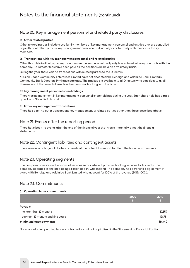# *Note 20. Key management personnel and related party disclosures*

#### *(a) Other related parties*

*Other related parties include close family members of key management personnel and entities that are controlled or jointly controlled by those key management personnel, individually or collectively with their close family members.*

#### *(b) Transactions with key management personnel and related parties*

*Other than detailed below, no key management personnel or related party has entered into any contracts with the company. No Director fees have been paid as the positions are held on a voluntary basis.*

*During the year, there was no transactions with related parties to the Directors.*

*Mission Beach Community Enterprises Limited have not accepted the Bendigo and Adelaide Bank Limited's Community Bank Directors Privileges package. The package is available to all Directors who can elect to avail themselves of the benefits based on their personal banking with the branch.*

#### *(c) Key management personnel shareholdings*

*There was no movement in key management personnel shareholdings during the year. Each share held has a paid up value of \$1 and is fully paid.*

#### *(d) Other key management transactions*

*There has been no other transactions key management or related parties other than those described above.*

# *Note 21. Events after the reporting period*

*There have been no events after the end of the financial year that would materially affect the financial statements.*

# *Note 22. Contingent liabilities and contingent assets*

*There were no contingent liabilities or assets at the date of this report to affect the financial statements.*

# *Note 23. Operating segments*

*The company operates in the financial services sector where it provides banking services to its clients. The company operates in one area being Mission Beach, Queensland. The company has a franchise agreement in place with Bendigo and Adelaide Bank Limited who account for 100% of the revenue (2019: 100%).*

### *Note 24. Commitments*

#### *(a) Operating lease commitments*

|                                    | 2020                     | 2019    |
|------------------------------------|--------------------------|---------|
|                                    |                          |         |
| Payable:                           |                          |         |
| - no later than 12 months          |                          | 37,559  |
| - between 12 months and five years | $\overline{\phantom{a}}$ | 121.781 |
| Minimum lease payments             | ۰                        | 159.340 |

*Non-cancellable operating leases contracted for but not capitalised in the Statement of Financial Position.*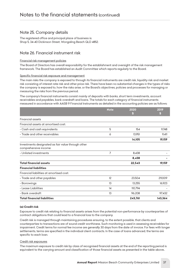# *Note 25. Company details*

*The registered office and principal place of business is: Shop 5, 34-40 Dickinson Street, Wongaling Beach QLD 4852.*

# *Note 26. Financial instrument risk*

#### *Financial risk management policies*

*The Board of Directors has overall responsibility for the establishment and oversight of the risk management framework. The Board has established an Audit Committee which reports regularly to the Board.*

#### *Specific financial risk exposure and management*

*The main risks the company is exposed to through its financial instruments are credit risk, liquidity risk and market risk consisting of interest rate risk and other price risk. There have been no substantial changes in the types of risks the company is exposed to, how the risks arise, or the Board's objectives, policies and processes for managing or measuring the risks from the previous period.*

*The company's financial instruments consist mainly of deposits with banks, short term investments, account receivables and payables, bank overdraft and loans. The totals for each category of financial instruments measured in accordance with AASB 9 Financial Instruments as detailed in the accounting policies are as follows:*

|                                                                             | <b>Note</b> | 2020    | 2019    |
|-----------------------------------------------------------------------------|-------------|---------|---------|
|                                                                             |             | \$      | S       |
| <b>Financial assets</b>                                                     |             |         |         |
| Financial assets at amortised cost:                                         |             |         |         |
| - Cash and cash equivalents                                                 | 5           | 154     | 9,748   |
| - Trade and other receivables                                               | 6           | 13,951  | 9.411   |
|                                                                             |             | 14,105  | 19,159  |
| Investments designated as fair value through other<br>comprehensive income: |             |         |         |
| - Unlisted investments                                                      | 7           | 8,438   |         |
|                                                                             |             | 8,438   |         |
| <b>Total financial assets</b>                                               |             | 22,543  | 19,159  |
| <b>Financial liabilities</b>                                                |             |         |         |
| Financial liabilities at amortised cost:                                    |             |         |         |
| - Trade and other payables                                                  | 12          | 23,504  | 29,009  |
| - Borrowings                                                                | 13          | 13.255  | 16,923  |
| - Lease Liabilities                                                         | 14          | 110,794 |         |
| - Bank overdraft                                                            | 13          | 96,208  | 97,432  |
| <b>Total financial liabilities</b>                                          |             | 243,761 | 143,364 |

#### *(a) Credit risk*

*Exposure to credit risk relating to financial assets arises from the potential non-performance by counterparties of contract obligations that could lead to a financial loss to the company.*

*Credit risk is managed through maintaining procedures ensuring, to the extent possible, that clients and counterparties to transactions are of sound credit worthiness. Such monitoring is used in assessing receivables for*  impairment. Credit terms for normal fee income are generally 30 days from the date of invoice. For fees with longer *settlements, terms are specified in the individual client contracts. In the case of loans advanced, the terms are specific to each loan.*

#### *Credit risk exposures*

*The maximum exposure to credit risk by class of recognised financial assets at the end of the reporting period is equivalent to the carrying amount and classification of those financial assets as presented in the table above..*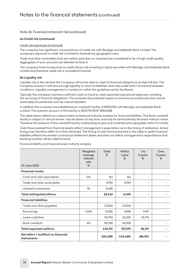#### *Note 26. Financial instrument risk (continued)*

#### *(a) Credit risk (continued)*

#### *Credit risk exposures (continued)*

*The company has significant concentrations of credit risk with Bendigo and Adelaide Bank Limited. The company's exposure to credit risk is limited to Australia by geographic area.*

*Trade and other receivables that are neither past due nor impaired are considered to be of high credit quality. Aggregates of such amounts are detailed at Note 6.*

*The company limits its exposure to credit risk by only investing in liquid securities with Bendigo and Adelaide Bank Limited and therefore credit risk is considered minimal.*

#### *(b) Liquidity risk*

Liquidity risk is the risk that the Company will not be able to meet its financial obligations as they fall due. The *Company ensures it will have enough liquidity to meet its liabilities when due under both normal and stressed conditions. Liquidity management is carried out within the guidelines set by the Board.*

*Typically, the company maintains sufficient cash on hand to meet expected operational expenses, including the servicing of financial obligations. This excludes the potential impact of extreme circumstances that cannot reasonably be predicted, such as natural disasters.*

*In addition the company has established an overdraft facility of \$200,000 with Bendigo and Adelaide Bank Limited. The undrawn amount of this facility is \$103,792 (2019: \$252,658).*

*The table below reflects an undiscounted contractual maturity analysis for financial liabilities. The Bank overdraft*  facility is subject to annual review, may be drawn at any time, and may be terminated by the bank without notice. *Therefore the balance of the overdraft facility outstanding at year end could become repayable within 12 months.*

*Cash flows realised from financial assets reflect management's expectation as to the timing of realisation. Actual timing may therefore differ from that disclosed. The timing of cash flows presented in the table to settle financial*  liabilities reflects the earliest contractual settlement dates and does not reflect management's expectations that *banking facilities will be rolled forward.*

| 30 June 2020                                       | Weighted<br>average<br>interest<br>rate<br>% | Total<br>\$ | Within<br>1 year<br>\$ | 1 <sub>to</sub><br>5 years<br>SS | Over<br>5 years<br>S |
|----------------------------------------------------|----------------------------------------------|-------------|------------------------|----------------------------------|----------------------|
| <b>Financial assets</b>                            |                                              |             |                        |                                  |                      |
| - Cash and cash equivalents                        | $0\%$                                        | 154         | 154                    |                                  |                      |
| - Trade and other receivables                      |                                              | 13,951      | 13,951                 | -                                |                      |
| - Unlisted investments                             | $1\%$                                        | 8.438       | ۰                      | ۰                                |                      |
| <b>Total anticipated inflows</b>                   |                                              | 22,543      | 14,105                 | ۰                                |                      |
| <b>Financial liabilities</b>                       |                                              |             |                        |                                  |                      |
| - Trade and other payables                         |                                              | 23,504      | 23.504                 |                                  |                      |
| - Borrowings                                       | 1.33%                                        | 13,255      | 3,838                  | 9.417                            |                      |
| - Lease Liabilities                                |                                              | 110,794     | 34,020                 | 76,774                           |                      |
| - Bank overdraft                                   | 6%                                           | 96,208      | 96,208                 |                                  |                      |
| <b>Total expected outflows</b>                     |                                              | 243,761     | 157,570                | 86,191                           |                      |
| Net inflow / (outflow) on financial<br>instruments |                                              | (221, 218)  | (143, 465)             | (86, 191)                        |                      |

*Financial liability and financial asset maturity analysis:*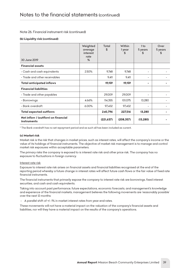#### *Note 26. Financial instrument risk (continued)*

#### *(b) Liquidity risk (continued)*

| 30 June 2019                                       | Weighted<br>average<br>interest<br>rate<br>% | Total<br>\$ | Within<br>1 year<br>\$ | 1 <sub>to</sub><br>5 years<br>\$ | Over<br>5 years<br>\$ |
|----------------------------------------------------|----------------------------------------------|-------------|------------------------|----------------------------------|-----------------------|
|                                                    |                                              |             |                        |                                  |                       |
| <b>Financial assets</b>                            |                                              |             |                        |                                  |                       |
| - Cash and cash equivalents                        | 2.50%                                        | 9,748       | 9,748                  | $\overline{\phantom{a}}$         |                       |
| - Trade and other receivables                      |                                              | 9.411       | 9,411                  | $\qquad \qquad \blacksquare$     |                       |
| <b>Total anticipated inflows</b>                   |                                              | 19,159      | 19,159                 | ۰                                |                       |
| <b>Financial liabilities</b>                       |                                              |             |                        |                                  |                       |
| - Trade and other payables                         |                                              | 29,009      | 29,009                 | $\overline{\phantom{0}}$         |                       |
| - Borrowings                                       | 4.66%                                        | 114,355     | 101,075                | 13,280                           |                       |
| - Bank overdraft                                   | 6.00%                                        | 97,432      | 97,432                 | -                                |                       |
| <b>Total expected outflows</b>                     |                                              | 240,796     | 227,516                | 13,280                           |                       |
| Net inflow / (outflow) on financial<br>instruments |                                              | (221, 637)  | (208, 357)             | (13, 280)                        |                       |

*\* The Bank overdraft has no set repayment period and as such all has been included as current.*

#### *(c) Market risk*

*Market risk is the risk that changes in market prices, such as interest rates, will affect the company's income or the value of its holdings of financial instruments. The objective of market risk management is to manage and control market risk exposures within acceptable parameters.*

*The primary risks the company is exposed to is interest rate risk and other price risk. The company has no exposure to fluctuations in foreign currency.*

#### *Interest rate risk*

*Exposure to interest rate risk arises on financial assets and financial liabilities recognised at the end of the reporting period whereby a future change in interest rates will affect future cash flows or the fair value of fixed rate financial instruments.*

*The financial instruments that primarily expose the company to interest rate risk are borrowings, fixed interest securities, and cash and cash equivalents.*

*Taking into account past performance, future expectations, economic forecasts, and management's knowledge and experience of the financial markets, management believes the following movements are 'reasonably possible' over the next 12 months:*

 *- A parallel shift of +/- 1% in market interest rates from year-end rates.*

*These movements will not have a material impact on the valuation of the company's financial assets and liabilities, nor will they have a material impact on the results of the company's operations.*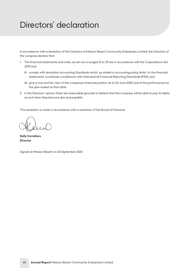# <span id="page-40-0"></span>*Directors' declaration*

*In accordance with a resolution of the Directors of Mission Beach Community Enterprises Limited, the Directors of the company declare that:*

- 1. The financial statements and notes, as set out on pages 13 to 39 are in accordance with the *Corporations Act 2001 and:*
	- *(i) comply with Australian Accounting Standards which, as stated in accounting policy Note 1 to the financial statements, constitutes compliance with International Financial Reporting Standards (IFRS); and*
	- *(ii) give a true and fair view of the company's financial position as at 30 June 2020 and of the performance for the year ended on that date;*
- *2. In the Directors' opinion there are reasonable grounds to believe that the company will be able to pay its debts as and when they become due and payable.*

*This resolution is made in accordance with a resolution of the Board of Directors.*

*Kelly Cavallaro Director*

*Signed at Mission Beach on 24 September 2020.*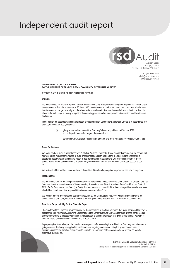# <span id="page-41-0"></span>*Independent audit report*



Ph: (03) 4435 3550 admin@rsdaudit.com.au www.rsdaudit.com.au

#### **INDEPENDENT AUDITOR'S REPORT TO THE MEMBERS OF MISSION BEACH COMMUNITY ENTERPRISES LIMITED**

**REPORT ON THE AUDIT OF THE FINANCIAL REPORT**

#### **Opinion**

We have audited the financial report of Mission Beach Community Enterprises Limited (the Company), which comprises the statement of financial position as at 30 June 2020, the statement of profit or loss and other comprehensive income, the statement of changes in equity and the statement of cash flows for the year then ended, and notes to the financial statements, including a summary of significant accounting policies and other explanatory information, and the directors' declaration.

In our opinion the accompanying financial report of Mission Beach Community Enterprises Limited is in accordance with the *Corporations Act 2001*, including:

- (i) giving a true and fair view of the Company's financial position as at 30 June 2020 and of its performance for the year then ended; and
- (ii) complying with Australian Accounting Standards and the *Corporations Regulations 2001;* and

#### **Basis for Opinion**

We conducted our audit in accordance with Australian Auditing Standards. Those standards require that we comply with relevant ethical requirements related to audit engagements and plan and perform the audit to obtain reasonable assurance about whether the financial report is free from material misstatement. Our responsibilities under those standards are further described in the *Auditor's Responsibilities for the Audit of the Financial Report* section of our report.

We believe that the audit evidence we have obtained is sufficient and appropriate to provide a basis for our opinion.

#### **Independence**

We are independent of the Company in accordance with the auditor independence requirements of the *Corporations Act 2001* and the ethical requirements of the Accounting Professional and Ethical Standards Board's APES 110: *Code of Ethics for Professional Accountants* (the Code) that are relevant to our audit of the financial report in Australia. We have also fulfilled our other ethical responsibilities in accordance with the Code.

We confirm that the independence declaration required by the *Corporations Act 2001*, which has been given to the directors of the Company, would be in the same terms if given to the directors as at the time of this auditor's report.

#### **Director's Responsibility for the Financial Report**

The directors of the Company are responsible for the preparation of the financial report that gives a true and fair view in accordance with Australian Accounting Standards and the *Corporations Act 2001,* and for such internal control as the directors determine is necessary to enable the preparation of the financial report that gives a true and fair view and is free from material misstatement, whether due to fraud or error.

In preparing the financial report, the directors are responsible for assessing the ability of the Company to continue as a going concern, disclosing, as applicable, matters related to going concern and using the going concern basis of accounting unless the directors either intend to liquidate the Company or to cease operations, or have no realistic alternative but to do so.



Richmond Sinnott & Delahunty, trading as RSD Audit ABN 60 616 244 309 Liability limited by a scheme approved under Professional Standards Legislation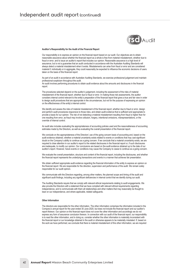

#### **Auditor's Responsibility for the Audit of the Financial Report**

Our responsibility is to express an opinion on the financial report based on our audit. Our objectives are to obtain reasonable assurance about whether the financial report as a whole is free from material misstatement, whether due to fraud or error, and to issue an auditor's report that includes our opinion. Reasonable assurance is a high level of assurance, but is not a guarantee that an audit conducted in accordance with the Australian Auditing Standards will always detect a material misstatement when it exists. Misstatements can arise from fraud or error and are considered material if, individually or in aggregate, they could reasonably be expected to influence the economic decisions of users taken on the basis of this financial report.

As part of an audit in accordance with Australian Auditing Standards, we exercise professional judgement and maintain professional scepticism throughout the audit.

An audit involves performing procedures to obtain audit evidence about the amounts and disclosures in the financial report.

The procedures selected depend on the auditor's judgement, including the assessment of the risks of material misstatement of the financial report, whether due to fraud or error. In making those risk assessments, the auditor considers internal control relevant to the entity's preparation of the financial report that gives a true and fair view in order to design audit procedures that are appropriate in the circumstances, but not for the purpose of expressing an opinion on the effectiveness of the entity's internal control.

We identify and assess the risks of material misstatement of the financial report, whether due to fraud or error, design and perform audit procedures responsive to those risks, and obtain audit evidence that is sufficient and appropriate to provide a basis for our opinion. The risk of not detecting a material misstatement resulting from fraud is higher than for one resulting from error, as fraud may involve collusion, forgery, intentional omissions, misrepresentations, or the override of internal control.

An audit also includes evaluating the appropriateness of accounting policies used and the reasonableness of accounting estimates made by the Directors, as well as evaluating the overall presentation of the financial report.

We conclude on the appropriateness of the Directors' use of the going concern basis of accounting and, based on the audit evidence obtained, whether a material uncertainty exists related to events or conditions that may cast significant doubt on the Company's ability to continue as a going concern. If we conclude that a material uncertainty exists, we are required to draw attention in our auditor's report to the related disclosures in the financial report or, if such disclosures are inadequate, to modify our opinion. Our conclusions are based on the audit evidence obtained up to the date of our auditor's report. However, future events or conditions may cause the Company to cease to continue as a going concern.

We evaluate the overall presentation, structure and content of the financial report, including the disclosures, and whether the financial report represents the underlying transactions and events in a manner that achieves fair presentation.

We obtain sufficient appropriate audit evidence regarding the financial information of the entity to express an opinion on the financial report. We are responsible for the direction, supervision and performance of the audit. We remain solely responsible for our audit opinion.

We communicate with the Directors regarding, among other matters, the planned scope and timing of the audit and significant audit findings, including any significant deficiencies in internal control that we identify during our audit.

The Auditing Standards require that we comply with relevant ethical requirements relating to audit engagements. We also provide the Directors with a statement that we have complied with relevant ethical requirements regarding independence, and to communicate with them all relationships and other matters that may reasonably be thought to bear on our independence, and where applicable, related safeguards.

#### **Other Information**

The directors are responsible for the other information. The other information comprises the information included in the Company's annual report for the year ended 30 June 2020, but does not include the financial report and our auditor's report thereon. Our opinion on the financial report does not cover the other information and accordingly we do not express any form of assurance conclusion thereon. In connection with our audit of the financial report, our responsibility is to read the other information, and in doing so, consider whether the other information is materially inconsistent with the financial report or our knowledge obtained in the audit or otherwise appears to be materially misstated. If, based on the work we have performed, we conclude that there is material misstatement of this other information, we are required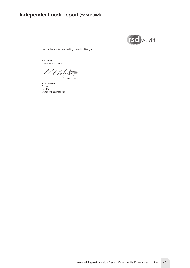

to report that fact. We have nothing to report in this regard.

**RSD Audit** Chartered Accountants

l. l. Delo

**P. P. Delahunty** Partner Bendigo Dated: 29 September 2020